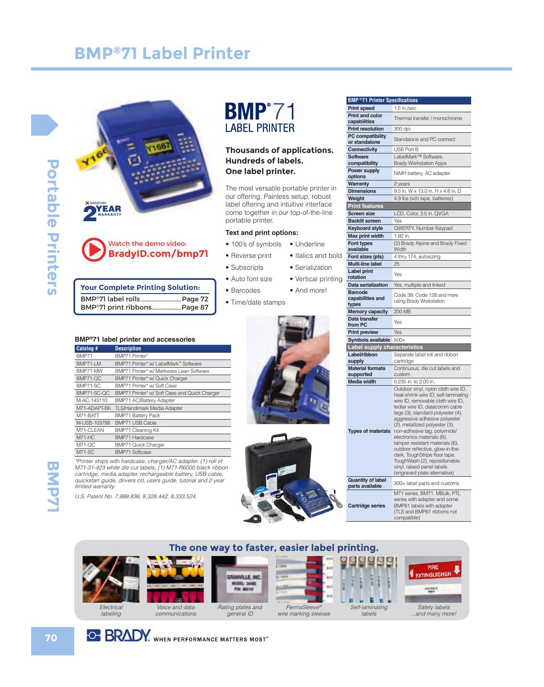





| <b>Your Complete Printing Solution:</b> |               |
|-----------------------------------------|---------------|
|                                         | <b>BUDITA</b> |

|  | BMP <sup>®</sup> 71 label rolls  Page 72 |
|--|------------------------------------------|
|  | BMP <sup>®</sup> 71 print ribbonsPage 87 |

#### **BMP®71 label printer and accessories**

| Catalog #     | <b>Description</b>                            |
|---------------|-----------------------------------------------|
| BMP71         | BMP71 Printer*                                |
| BMP71-LM      | BMP71 Printer* w/ LabelMark™ Software         |
| BMP71-MW      | BMP71 Printer* w/ Markware Lean Software      |
| BMP71-QC      | BMP71 Printer* w/ Quick Charger               |
| BMP71-SC      | BMP71 Printer* w/ Soft Case                   |
| BMP71-SC-QC   | BMP71 Printer* w/ Soft Case and Quick Charger |
| M-AC-143110   | <b>BMP71 AC/Battery Adapter</b>               |
| M71-ADAPT-BK  | <b>TLS/Handimark Media Adapter</b>            |
| M71-BATT      | <b>BMP71 Battery Pack</b>                     |
| M-USB-103788  | <b>BMP71 USB Cable</b>                        |
| M71-CLEAN     | <b>BMP71 Cleaning Kit</b>                     |
| $M71-HC$      | <b>BMP71 Hardcase</b>                         |
| <b>M71-QC</b> | <b>BMP71 Quick Charger</b>                    |
| M71-SC        | <b>BMP71 Softcase</b>                         |

\*Printer ships with hardcase, charger/AC adapter, (1) roll of M71-31-423 white die cut labels, (1) M71-R6000 black ribbon cartridge, media adapter, rechargeable battery, USB cable, quickstart guide, drivers cd, users guide, tutorial and 2 year limited warranty.

U.S. Patent No. 7,999,836; 8,328,442; 8,333,524.

# Bel Printer

#### **Thousands of applications. Hundreds of labels. One label printer.**

The most versatile portable printer in our offering. Painless setup, robust label offering and intuitive interface come together in our top-of-the-line portable printer.

> • Italics and bold • Serialization • Vertical printing • And more!

#### **Text and print options:**

- 100's of symbols • Underline
- Reverse print
- Subscripts
- Auto font size
- Barcodes
- Time/date stamps





| <b>BMP®71 Printer Specifications</b>        |                                                                                                                                                                                                                                                                                                                                                                                                                                                                                         |
|---------------------------------------------|-----------------------------------------------------------------------------------------------------------------------------------------------------------------------------------------------------------------------------------------------------------------------------------------------------------------------------------------------------------------------------------------------------------------------------------------------------------------------------------------|
| <b>Print speed</b>                          | 1.5 in./sec                                                                                                                                                                                                                                                                                                                                                                                                                                                                             |
| <b>Print and color</b><br>capabilities      | Thermal transfer / monochrome                                                                                                                                                                                                                                                                                                                                                                                                                                                           |
| <b>Print resolution</b>                     | 300 dpi                                                                                                                                                                                                                                                                                                                                                                                                                                                                                 |
| <b>PC compatibility</b><br>or standalone    | Standalone and PC connect                                                                                                                                                                                                                                                                                                                                                                                                                                                               |
| Connectivity                                | USB Port B                                                                                                                                                                                                                                                                                                                                                                                                                                                                              |
| <b>Software</b><br>compatibility            | LabelMark™ Software,<br><b>Brady Workstation Apps</b>                                                                                                                                                                                                                                                                                                                                                                                                                                   |
| Power supply<br>options                     | NiMH battery, AC adapter                                                                                                                                                                                                                                                                                                                                                                                                                                                                |
| <b>Warranty</b>                             | 2 years                                                                                                                                                                                                                                                                                                                                                                                                                                                                                 |
| <b>Dimensions</b>                           | 9.5 in. W x 13.0 in. H x 4.6 in. D                                                                                                                                                                                                                                                                                                                                                                                                                                                      |
| Weight                                      | 4.9 lbs (w/o tape, batteries)                                                                                                                                                                                                                                                                                                                                                                                                                                                           |
| <b>Print features</b>                       |                                                                                                                                                                                                                                                                                                                                                                                                                                                                                         |
| <b>Screen size</b>                          | LCD, Color, 3.5 in. QVGA                                                                                                                                                                                                                                                                                                                                                                                                                                                                |
| <b>Backlit screen</b>                       | Yes                                                                                                                                                                                                                                                                                                                                                                                                                                                                                     |
| <b>Keyboard style</b>                       | QWERTY, Number Keypad                                                                                                                                                                                                                                                                                                                                                                                                                                                                   |
| <b>Max print width</b>                      | 1.92 in.                                                                                                                                                                                                                                                                                                                                                                                                                                                                                |
| Font types<br>available                     | (2) Brady Alpine and Brady Fixed<br>Width                                                                                                                                                                                                                                                                                                                                                                                                                                               |
| Font sizes (pts)                            | 4 thru 174, autosizing                                                                                                                                                                                                                                                                                                                                                                                                                                                                  |
| <b>Multi-line label</b>                     | 25                                                                                                                                                                                                                                                                                                                                                                                                                                                                                      |
| <b>Label print</b><br>rotation              | Yes                                                                                                                                                                                                                                                                                                                                                                                                                                                                                     |
| Data serialization                          | Yes, multiple and linked                                                                                                                                                                                                                                                                                                                                                                                                                                                                |
| <b>Barcode</b><br>capabilities and<br>types | Code 39, Code 128 and more<br>using Brady Workstation                                                                                                                                                                                                                                                                                                                                                                                                                                   |
| <b>Memory capacity</b>                      | 200 MB                                                                                                                                                                                                                                                                                                                                                                                                                                                                                  |
| Data transfer<br>from PC                    | Yes                                                                                                                                                                                                                                                                                                                                                                                                                                                                                     |
| <b>Print preview</b>                        | Yes                                                                                                                                                                                                                                                                                                                                                                                                                                                                                     |
| Symbols available                           | $500+$                                                                                                                                                                                                                                                                                                                                                                                                                                                                                  |
| Label supply characteristics                |                                                                                                                                                                                                                                                                                                                                                                                                                                                                                         |
| Label/ribbon<br>supply                      | Separate label roll and ribbon<br>cartridge                                                                                                                                                                                                                                                                                                                                                                                                                                             |
| <b>Material formats</b>                     | Continuous, die cut labels and                                                                                                                                                                                                                                                                                                                                                                                                                                                          |
| supported                                   | custom                                                                                                                                                                                                                                                                                                                                                                                                                                                                                  |
| <b>Media width</b>                          | 0.235 in. to 2.00 in.<br>Outdoor vinyl, nylon cloth wire ID,                                                                                                                                                                                                                                                                                                                                                                                                                            |
|                                             |                                                                                                                                                                                                                                                                                                                                                                                                                                                                                         |
| <b>Types of materials</b>                   | heat-shrink wire ID, self-laminating<br>wire ID, removable cloth wire ID,<br>tedlar wire ID, datacomm cable<br>tags (3), standard polyester (4),<br>aggressive adhesive polyester<br>(2), metallized polyester (3),<br>non-adhesive tag, polyimide/<br>electronics materials (6),<br>tamper resistant materials (6),<br>outdoor reflective, glow-in-the<br>dark, ToughStripe floor tape,<br>ToughWash (2), repositionable<br>vinyl, raised panel labels<br>(engraved plate alternative) |
| <b>Quantity of label</b><br>parts available | 300+ label parts and customs                                                                                                                                                                                                                                                                                                                                                                                                                                                            |

#### **The one way to faster, easier label printing.**





communications

MODEL: 3545E<br>P.M. 862147 Rating plates and general ID

GRANVILLE, INC.



wire marking sleeves



q



...and many more!

**OF BRADY** WHEN PERFORMANCE MATTERS MOST"

**BMP71**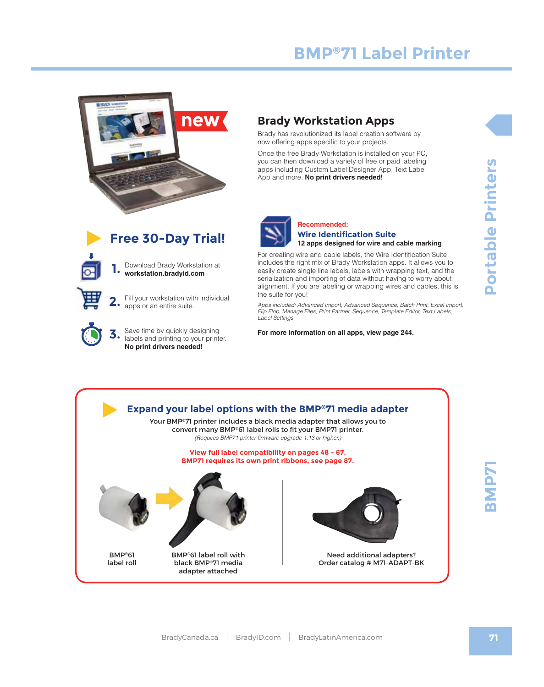

### **Brady Workstation Apps**

Brady has revolutionized its label creation software by now offering apps specific to your projects.

Once the free Brady Workstation is installed on your PC, you can then download a variety of free or paid labeling apps including Custom Label Designer App, Text Label App and more. **No print drivers needed!**



#### **Recommended: Wire Identification Suite 12 apps designed for wire and cable marking**

For creating wire and cable labels, the Wire Identification Suite includes the right mix of Brady Workstation apps. It allows you to easily create single line labels, labels with wrapping text, and the serialization and importing of data without having to worry about alignment. If you are labeling or wrapping wires and cables, this is the suite for you!

*Apps included: Advanced Import, Advanced Sequence, Batch Print, Excel Import, Flip Flop, Manage Files, Print Partner, Sequence, Template Editor, Text Labels, Label Settings.* 

**For more information on all apps, view page 244.**

Portable Printers **71 71BMP71 Portable Printers**



 **1.**

BMP®61 label roll

**3.** Save time by quickly designing<br>about said printing to your printer. **No print drivers needed!**

apps or an entire suite.

Download Brady Workstation at **workstation.bradyid.com**

**Free 30-Day Trial!**

Fill your workstation with individual



BMP®61 label roll with black BMP®71 media adapter attached

Need additional adapters? Order catalog # M71-ADAPT-BK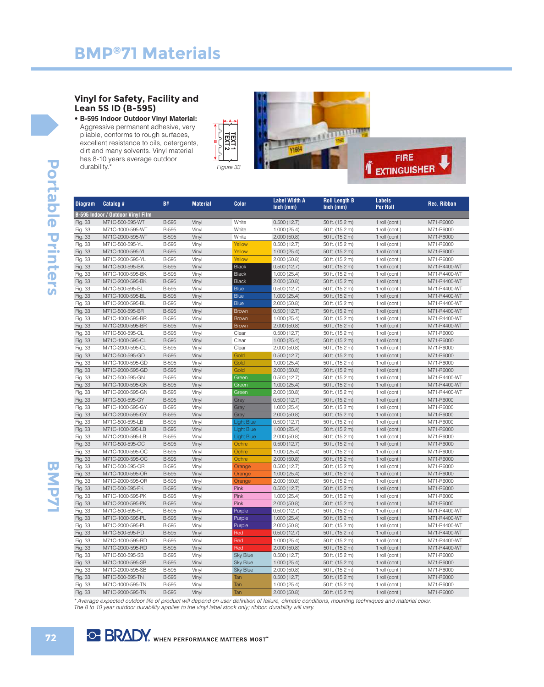#### **Vinyl for Safety, Facility and Lean 5S ID (B-595)**

• **B-595 Indoor Outdoor Vinyl Material:**  Aggressive permanent adhesive, very pliable, conforms to rough surfaces, excellent resistance to oils, detergents, dirt and many solvents. Vinyl material has 8-10 years average outdoor durability.\*





| <b>Diagram</b> | Catalog #                                | <b>B#</b>    | <b>Material</b> | <b>Color</b>      | <b>Label Width A</b><br>$lnch$ (mm) | <b>Roll Length B</b><br>$lnch$ (mm) | <b>Labels</b><br><b>Per Roll</b> | <b>Rec. Ribbon</b> |
|----------------|------------------------------------------|--------------|-----------------|-------------------|-------------------------------------|-------------------------------------|----------------------------------|--------------------|
|                | <b>B-595 Indoor / Outdoor Vinyl Film</b> |              |                 |                   |                                     |                                     |                                  |                    |
| Fig. 33        | M71C-500-595-WT                          | <b>B-595</b> | Vinyl           | White             | 0.500(12.7)                         | 50 ft. (15.2 m)                     | 1 roll (cont.)                   | M71-R6000          |
| Fig. 33        | M71C-1000-595-WT                         | <b>B-595</b> | Vinyl           | White             | 1.000(25.4)                         | 50 ft. (15.2 m)                     | 1 roll (cont.)                   | M71-R6000          |
| Fig. 33        | M71C-2000-595-WT                         | <b>B-595</b> | Vinyl           | White             | 2.000(50.8)                         | 50 ft. (15.2 m)                     | 1 roll (cont.)                   | M71-R6000          |
| Fig. 33        | M71C-500-595-YL                          | <b>B-595</b> | Vinyl           | Yellow            | 0.500(12.7)                         | 50 ft. (15.2 m)                     | 1 roll (cont.)                   | M71-R6000          |
| Fig. 33        | M71C-1000-595-YL                         | <b>B-595</b> | Vinyl           | Yellow            | 1.000(25.4)                         | 50 ft. (15.2 m)                     | 1 roll (cont.)                   | M71-R6000          |
| Fig. 33        | M71C-2000-595-YL                         | <b>B-595</b> | Vinyl           | Yellow            | 2.000(50.8)                         | 50 ft. (15.2 m)                     | 1 roll (cont.)                   | M71-R6000          |
| Fig. 33        | M71C-500-595-BK                          | <b>B-595</b> | Vinyl           | <b>Black</b>      | 0.500(12.7)                         | 50 ft. (15.2 m)                     | 1 roll (cont.)                   | M71-R4400-WT       |
| Fig. 33        | M71C-1000-595-BK                         | <b>B-595</b> | Vinyl           | <b>Black</b>      | 1.000(25.4)                         | 50 ft. (15.2 m)                     | 1 roll (cont.)                   | M71-R4400-WT       |
| Fig. 33        | M71C-2000-595-BK                         | <b>B-595</b> | Vinyl           | <b>Black</b>      | 2.000(50.8)                         | 50 ft. (15.2 m)                     | 1 roll (cont.)                   | M71-R4400-W1       |
| Fig. 33        | M71C-500-595-BL                          | <b>B-595</b> | Vinyl           | <b>Blue</b>       | 0.500(12.7)                         | 50 ft. (15.2 m)                     | 1 roll (cont.)                   | M71-R4400-W1       |
| Fig. 33        | M71C-1000-595-BL                         | <b>B-595</b> | Vinyl           | <b>Blue</b>       | 1.000(25.4)                         | 50 ft. (15.2 m)                     | 1 roll (cont.)                   | M71-R4400-WT       |
| Fig. 33        | M71C-2000-595-BL                         | <b>B-595</b> | Vinyl           | <b>Blue</b>       | 2.000(50.8)                         | 50 ft. (15.2 m)                     | 1 roll (cont.)                   | M71-R4400-W1       |
| Fig. 33        | M71C-500-595-BR                          | <b>B-595</b> | Vinyl           | <b>Brown</b>      | 0.500(12.7)                         | 50 ft. (15.2 m)                     | 1 roll (cont.)                   | M71-R4400-WT       |
| Fig. 33        | M71C-1000-595-BR                         | <b>B-595</b> | Vinyl           | <b>Brown</b>      | 1.000(25.4)                         | 50 ft. (15.2 m)                     | 1 roll (cont.)                   | M71-R4400-WT       |
| Fig. 33        | M71C-2000-595-BR                         | <b>B-595</b> | Vinyl           | <b>Brown</b>      | 2.000(50.8)                         | 50 ft. (15.2 m)                     | 1 roll (cont.)                   | M71-R4400-WT       |
| Fig. 33        | M71C-500-595-CL                          | <b>B-595</b> | Vinyl           | Clear             | 0.500(12.7)                         | 50 ft. (15.2 m)                     | 1 roll (cont.)                   | M71-R6000          |
| Fig. 33        | M71C-1000-595-CL                         | <b>B-595</b> | Vinyl           | Clear             | 1.000(25.4)                         | 50 ft. (15.2 m)                     | 1 roll (cont.)                   | M71-R6000          |
| Fig. 33        | M71C-2000-595-CL                         | <b>B-595</b> | Vinyl           | Clear             | 2.000(50.8)                         | 50 ft. (15.2 m)                     | 1 roll (cont.)                   | M71-R6000          |
| Fig. 33        | M71C-500-595-GD                          | <b>B-595</b> | Vinyl           | Gold              | 0.500(12.7)                         | 50 ft. (15.2 m)                     | 1 roll (cont.)                   | M71-R6000          |
| Fig. 33        | M71C-1000-595-GD                         | <b>B-595</b> | Vinyl           | Gold              | 1.000(25.4)                         | 50 ft. (15.2 m)                     | 1 roll (cont.)                   | M71-R6000          |
| Fig. 33        | M71C-2000-595-GD                         | <b>B-595</b> | Vinyl           | Gold              | 2.000(50.8)                         | 50 ft. (15.2 m)                     | 1 roll (cont.)                   | M71-R6000          |
| Fig. 33        | M71C-500-595-GN                          | B-595        | Vinyl           | Green             | 0.500(12.7)                         | 50 ft. (15.2 m)                     | 1 roll (cont.)                   | M71-R4400-WT       |
| Fig. 33        | M71C-1000-595-GN                         | <b>B-595</b> | Vinyl           | Green             | 1.000(25.4)                         | 50 ft. (15.2 m)                     | 1 roll (cont.)                   | M71-R4400-WT       |
| Fig. 33        | M71C-2000-595-GN                         | <b>B-595</b> | Vinyl           | Green             | 2.000(50.8)                         | 50 ft. (15.2 m)                     | 1 roll (cont.)                   | M71-R4400-WT       |
| Fig. 33        | M71C-500-595-GY                          | <b>B-595</b> | Vinyl           | Gray              | 0.500(12.7)                         | 50 ft. (15.2 m)                     | 1 roll (cont.)                   | M71-R6000          |
| Fig. 33        | M71C-1000-595-GY                         | <b>B-595</b> | Vinyl           | Gray              | 1.000(25.4)                         | 50 ft. (15.2 m)                     | 1 roll (cont.)                   | M71-R6000          |
| Fig. 33        | M71C-2000-595-GY                         | <b>B-595</b> | Vinyl           | Gray              | 2.000(50.8)                         | 50 ft. (15.2 m)                     | 1 roll (cont.)                   | M71-R6000          |
| Fig. 33        | M71C-500-595-LB                          | <b>B-595</b> | Vinyl           | <b>Light Blue</b> | 0.500(12.7)                         | 50 ft. (15.2 m)                     | 1 roll (cont.)                   | M71-R6000          |
| Fig. 33        | M71C-1000-595-LB                         | <b>B-595</b> | Vinyl           | <b>Light Blue</b> | 1.000(25.4)                         | 50 ft. (15.2 m)                     | 1 roll (cont.)                   | M71-R6000          |
| Fig. 33        | M71C-2000-595-LB                         | <b>B-595</b> | Vinyl           | <b>Light Blue</b> | 2.000(50.8)                         | 50 ft. (15.2 m)                     | 1 roll (cont.)                   | M71-R6000          |
| Fig. 33        | M71C-500-595-OC                          | <b>B-595</b> | Vinyl           | Ochre             | 0.500(12.7)                         | 50 ft. (15.2 m)                     | 1 roll (cont.)                   | M71-R6000          |
| Fig. 33        | M71C-1000-595-OC                         | <b>B-595</b> | Vinyl           | Ochre             | 1.000(25.4)                         | 50 ft. (15.2 m)                     | 1 roll (cont.)                   | M71-R6000          |
| Fig. 33        | M71C-2000-595-OC                         | <b>B-595</b> | Vinyl           | Ochre             | 2.000(50.8)                         | 50 ft. (15.2 m)                     | 1 roll (cont.)                   | M71-R6000          |
| Fig. 33        | M71C-500-595-OR                          | <b>B-595</b> | Vinyl           | Orange            | 0.500(12.7)                         | 50 ft. (15.2 m)                     | 1 roll (cont.)                   | M71-R6000          |
| Fig. 33        | M71C-1000-595-OR                         | <b>B-595</b> | Vinyl           | Orange            | 1.000(25.4)                         | 50 ft. (15.2 m)                     | 1 roll (cont.)                   | M71-R6000          |
| Fig. 33        | M71C-2000-595-OR                         | <b>B-595</b> | Vinyl           | Orange            | 2.000(50.8)                         | 50 ft. (15.2 m)                     | 1 roll (cont.)                   | M71-R6000          |
| Fig. 33        | M71C-500-595-PK                          | <b>B-595</b> | Vinyl           | Pink              | 0.500(12.7)                         | 50 ft. (15.2 m)                     | 1 roll (cont.)                   | M71-R6000          |
| Fig. 33        | M71C-1000-595-PK                         | <b>B-595</b> | Vinyl           | Pink              | 1.000(25.4)                         | 50 ft. (15.2 m)                     | 1 roll (cont.)                   | M71-R6000          |
| Fig. 33        | M71C-2000-595-PK                         | <b>B-595</b> | Vinyl           | Pink              | 2.000(50.8)                         | 50 ft. (15.2 m)                     | 1 roll (cont.)                   | M71-R6000          |
| Fig. 33        | M71C-500-595-PL                          | <b>B-595</b> | Vinyl           | Purple            | 0.500(12.7)                         | 50 ft. (15.2 m)                     | 1 roll (cont.)                   | M71-R4400-WT       |
| Fig. 33        | M71C-1000-595-PL                         | <b>B-595</b> | Vinyl           | Purple            | 1.000(25.4)                         | 50 ft. (15.2 m)                     | 1 roll (cont.)                   | M71-R4400-WT       |
| Fig. 33        | M71C-2000-595-PL                         | <b>B-595</b> | Vinyl           | <b>Purple</b>     | 2.000(50.8)                         | 50 ft. (15.2 m)                     | 1 roll (cont.)                   | M71-R4400-W        |
| Fig. 33        | M71C-500-595-RD                          | <b>B-595</b> | Vinyl           | Red               | 0.500(12.7)                         | 50 ft. (15.2 m)                     | 1 roll (cont.)                   | M71-R4400-WT       |
| Fig. 33        | M71C-1000-595-RD                         | <b>B-595</b> | Vinyl           | Red               | 1.000(25.4)                         | 50 ft. (15.2 m)                     | 1 roll (cont.)                   | M71-R4400-WT       |
| Fig. 33        | M71C-2000-595-RD                         | <b>B-595</b> | Vinyl           | Red               | 2.000(50.8)                         | 50 ft. (15.2 m)                     | 1 roll (cont.)                   | M71-R4400-WT       |
| Fig. 33        | M71C-500-595-SB                          | <b>B-595</b> | Vinvl           | <b>Sky Blue</b>   | 0.500(12.7)                         | 50 ft. (15.2 m)                     | 1 roll (cont.)                   | M71-R6000          |
| Fig. 33        | M71C-1000-595-SB                         | <b>B-595</b> | Vinyl           | <b>Sky Blue</b>   | 1.000(25.4)                         | 50 ft. (15.2 m)                     | 1 roll (cont.)                   | M71-R6000          |
| Fig. 33        | M71C-2000-595-SB                         | <b>B-595</b> | Vinyl           | <b>Sky Blue</b>   | 2.000(50.8)                         | 50 ft. (15.2 m)                     | 1 roll (cont.)                   | M71-R6000          |
| Fig. 33        | M71C-500-595-TN                          | <b>B-595</b> | Vinyl           | Tan               | 0.500(12.7)                         | 50 ft. (15.2 m)                     | 1 roll (cont.)                   | M71-R6000          |
| Fig. 33        | M71C-1000-595-TN                         | <b>B-595</b> | Vinyl           | Tan               | 1.000(25.4)                         | 50 ft. (15.2 m)                     | 1 roll (cont.)                   | M71-R6000          |
| Fig. 33        | M71C-2000-595-TN                         | <b>B-595</b> | Vinyl           | Tan               | 2.000(50.8)                         | 50 ft. (15.2 m)                     | 1 roll (cont.)                   | M71-R6000          |
|                |                                          |              |                 |                   |                                     |                                     |                                  |                    |

\* Average expected outdoor life of product will depend on user definition of failure, climatic conditions, mounting techniques and material color. The 8 to 10 year outdoor durability applies to the vinyl label stock only; ribbon durability will vary.

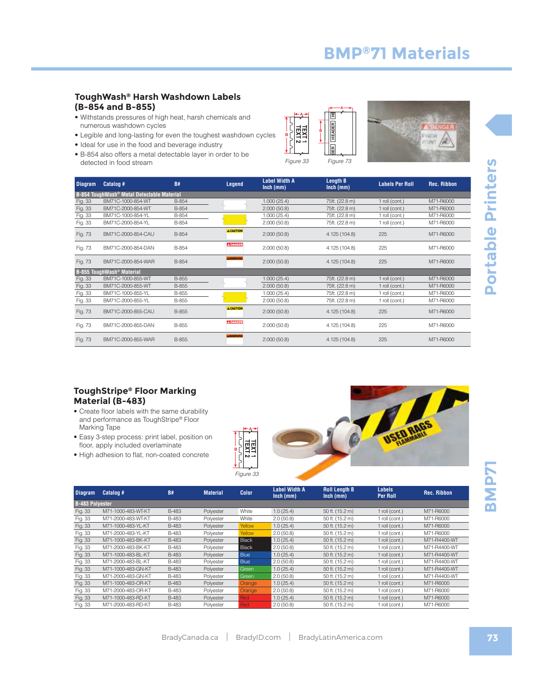#### **ToughWash® Harsh Washdown Labels (B-854 and B-855)**

- Withstands pressures of high heat, harsh chemicals and numerous washdown cycles
- Legible and long-lasting for even the toughest washdown cycles
- Ideal for use in the food and beverage industry
- B-854 also offers a metal detectable layer in order to be detected in food stream Figure 33





Figure 73

| <b>Diagram</b> | Catalog #                                              | <b>B#</b> | Legend           | <b>Label Width A</b><br>$lnch$ (mm) | <b>Length B</b><br>$lnch$ (mm) | <b>Labels Per Roll</b> | <b>Rec. Ribbon</b> |
|----------------|--------------------------------------------------------|-----------|------------------|-------------------------------------|--------------------------------|------------------------|--------------------|
|                | B-854 ToughWash <sup>®</sup> Metal Detectable Material |           |                  |                                     |                                |                        |                    |
| Fig. 33        | BM71C-1000-854-WT                                      | B-854     |                  | 1.000(25.4)                         | 75ft. (22.8 m)                 | 1 roll (cont.)         | M71-R6000          |
| Fig. 33        | BM71C-2000-854-WT                                      | B-854     |                  | 2.000(50.8)                         | 75ft. (22.8 m)                 | 1 roll (cont.)         | M71-R6000          |
| Fig. 33        | BM71C-1000-854-YL                                      | B-854     |                  | 1.000(25.4)                         | 75ft. (22.8 m)                 | 1 roll (cont.)         | M71-R6000          |
| Fig. 33        | BM71C-2000-854-YL                                      | B-854     |                  | 2.000(50.8)                         | 75ft. (22.8 m)                 | 1 roll (cont.)         | M71-R6000          |
| Fig. 73        | BM71C-2000-854-CAU                                     | B-854     | <b>A CAUTION</b> | 2.000(50.8)                         | 4.125 (104.8)                  | 225                    | M71-R6000          |
| Fig. 73        | BM71C-2000-854-DAN                                     | B-854     | <b>A DANGER</b>  | 2.000(50.8)                         | 4.125 (104.8)                  | 225                    | M71-R6000          |
| Fig. 73        | BM71C-2000-854-WAR                                     | B-854     | <b>AWARNING</b>  | 2.000(50.8)                         | 4.125 (104.8)                  | 225                    | M71-R6000          |
|                | B-855 ToughWash <sup>®</sup> Material                  |           |                  |                                     |                                |                        |                    |
| Fig. 33        | BM71C-1000-855-WT                                      | B-855     |                  | 1.000(25.4)                         | 75ft. (22.8 m)                 | 1 roll (cont.)         | M71-R6000          |
| Fig. 33        | BM71C-2000-855-WT                                      | B-855     |                  | 2.000(50.8)                         | 75ft. (22.8 m)                 | 1 roll (cont.)         | M71-R6000          |
| Fig. 33        | BM71C-1000-855-YL                                      | B-855     |                  | 1.000(25.4)                         | 75ft. (22.8 m)                 | 1 roll (cont.)         | M71-R6000          |
| Fig. 33        | BM71C-2000-855-YL                                      | B-855     |                  | 2.000(50.8)                         | 75ft. (22.8 m)                 | 1 roll (cont.)         | M71-R6000          |
| Fig. 73        | BM71C-2000-855-CAU                                     | B-855     | <b>A CAUTION</b> | 2.000(50.8)                         | 4.125 (104.8)                  | 225                    | M71-R6000          |
| Fig. 73        | BM71C-2000-855-DAN                                     | B-855     | A DANGER         | 2.000(50.8)                         | 4.125 (104.8)                  | 225                    | M71-R6000          |
| Fig. 73        | BM71C-2000-855-WAR                                     | B-855     | <b>AWARNING</b>  | 2.000(50.8)                         | 4.125 (104.8)                  | 225                    | M71-R6000          |

#### **ToughStripe® Floor Marking Material (B-483)**

- Create floor labels with the same durability and performance as ToughStripe® Floor Marking Tape
- Easy 3-step process: print label, position on floor, apply included overlaminate
- High adhesion to flat, non-coated concrete



| <b>Diagram</b>         | Catalog #          | <b>B#</b>    | <b>Material</b> | Color              | <b>Label Width A</b><br>$lnch$ (mm) | <b>Roll Length B</b><br>$lnch$ (mm) | Labels<br><b>Per Roll</b> | <b>Rec. Ribbon</b> |
|------------------------|--------------------|--------------|-----------------|--------------------|-------------------------------------|-------------------------------------|---------------------------|--------------------|
| <b>B-483 Polyester</b> |                    |              |                 |                    |                                     |                                     |                           |                    |
| Fig. 33                | M71-1000-483-WT-KT | <b>B-483</b> | Polyester       | White              | 1.0(25.4)                           | 50 ft. (15.2 m)                     | 1 roll (cont.)            | M71-R6000          |
| Fig. 33                | M71-2000-483-WT-KT | <b>B-483</b> | Polvester       | White              | 2.0(50.8)                           | 50 ft. (15.2 m)                     | 1 roll (cont.)            | M71-R6000          |
| Fig. 33                | M71-1000-483-YL-KT | <b>B-483</b> | Polyester       | Yellow             | 1.0(25.4)                           | 50 ft. (15.2 m)                     | 1 roll (cont.)            | M71-R6000          |
| Fig. 33                | M71-2000-483-YL-KT | <b>B-483</b> | Polyester       | Yellow             | 2.0(50.8)                           | 50 ft. (15.2 m)                     | 1 roll (cont.)            | M71-R6000          |
| Fig. 33                | M71-1000-483-BK-KT | <b>B-483</b> | Polyester       | <b>Black</b>       | 1.0(25.4)                           | 50 ft. (15.2 m)                     | 1 roll (cont.)            | M71-R4400-WT       |
| Fig. 33                | M71-2000-483-BK-KT | <b>B-483</b> | Polyester       | <b>Black</b>       | 2.0(50.8)                           | 50 ft. (15.2 m)                     | 1 roll (cont.)            | M71-R4400-WT       |
| Fig. 33                | M71-1000-483-BL-KT | <b>B-483</b> | Polyester       | <b>Blue</b>        | 1.0(25.4)                           | 50 ft. (15.2 m)                     | 1 roll (cont.)            | M71-R4400-WT       |
| Fig. 33                | M71-2000-483-BL-KT | <b>B-483</b> | Polyester       | <b>Blue</b>        | 2.0(50.8)                           | 50 ft. (15.2 m)                     | 1 roll (cont.)            | M71-R4400-WT       |
| Fig. 33                | M71-1000-483-GN-KT | <b>B-483</b> | Polyester       | Green              | 1.0(25.4)                           | 50 ft. (15.2 m)                     | 1 roll (cont.)            | M71-R4400-WT       |
| Fig. 33                | M71-2000-483-GN-KT | <b>B-483</b> | Polyester       | <b>Green</b>       | 2.0(50.8)                           | 50 ft. (15.2 m)                     | 1 roll (cont.)            | M71-R4400-WT       |
| Fig. 33                | M71-1000-483-OR-KT | <b>B-483</b> | Polyester       | Orange <sub></sub> | 1.0(25.4)                           | 50 ft. (15.2 m)                     | 1 roll (cont.)            | M71-R6000          |
| Fig. 33                | M71-2000-483-OR-KT | <b>B-483</b> | Polyester       | Orange             | 2.0(50.8)                           | 50 ft. (15.2 m)                     | 1 roll (cont.)            | M71-R6000          |
| Fig. 33                | M71-1000-483-RD-KT | <b>B-483</b> | Polyester       | <b>Red</b>         | 1.0(25.4)                           | 50 ft. (15.2 m)                     | 1 roll (cont.)            | M71-R6000          |
| Fig. 33                | M71-2000-483-RD-KT | <b>B-483</b> | Polyester       | Red                | 2.0(50.8)                           | 50 ft. (15.2 m)                     | 1 roll (cont.)            | M71-R6000          |

**A**

**B**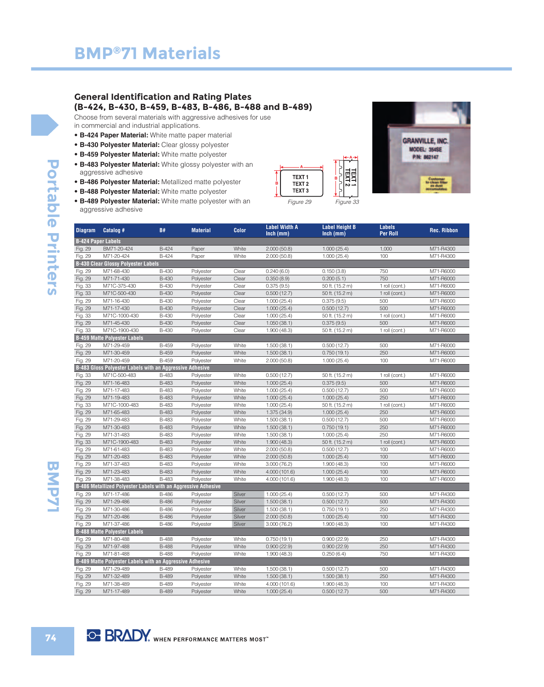#### **General Identification and Rating Plates (B-424, B-430, B-459, B-483, B-486, B-488 and B-489)**

Choose from several materials with aggressive adhesives for use in commercial and industrial applications.

- **B-424 Paper Material:** White matte paper material
- **B-430 Polyester Material:** Clear glossy polyester
- **B-459 Polyester Material:** White matte polyester
- **B-483 Polyester Material:** White glossy polyester with an aggressive adhesive
- **B-486 Polyester Material:** Metallized matte polyester
- **B-488 Polyester Material:** White matte polyester
- **B-489 Polyester Material:** White matte polyester with an aggressive adhesive





| <b>Diagram</b>            | Catalog #                                                            | <b>B#</b>                    | <b>Material</b> | <b>Color</b>   | <b>Label Width A</b>     | <b>Label Height B</b> | <b>Labels</b>   | <b>Rec. Ribbon</b>     |
|---------------------------|----------------------------------------------------------------------|------------------------------|-----------------|----------------|--------------------------|-----------------------|-----------------|------------------------|
|                           |                                                                      |                              |                 |                | $lnch$ (mm)              | $lnch$ (mm)           | <b>Per Roll</b> |                        |
| <b>B-424 Paper Labels</b> |                                                                      |                              |                 |                |                          |                       |                 |                        |
| Fig. 29                   | BM71-20-424                                                          | <b>B-424</b>                 | Paper           | White          | 2.000(50.8)              | 1.000(25.4)           | 1,000           | M71-R4300              |
| Fig. 29                   | M71-20-424                                                           | B-424                        | Paper           | White          | 2.000(50.8)              | 1.000(25.4)           | 100             | M71-R4300              |
|                           | <b>B-430 Clear Glossy Polyester Labels</b>                           |                              |                 |                |                          |                       |                 |                        |
| Fig. 29                   | M71-68-430<br>M71-71-430                                             | <b>B-430</b><br><b>B-430</b> | Polyester       | Clear<br>Clear | 0.240(6.0)               | 0.150(3.8)            | 750<br>750      | M71-R6000              |
| Fig. 29                   | M71C-375-430                                                         | <b>B-430</b>                 | Polyester       |                | 0.350(8.9)<br>0.375(9.5) | 0.200(5.1)            |                 | M71-R6000<br>M71-R6000 |
| Fig. 33                   | M71C-500-430                                                         | <b>B-430</b>                 | Polyester       | Clear<br>Clear |                          | 50 ft. (15.2 m)       | 1 roll (cont.)  |                        |
| Fig. 33                   |                                                                      |                              | Polyester       |                | 0.500(12.7)              | 50 ft. (15.2 m)       | 1 roll (cont.)  | M71-R6000              |
| Fig. 29                   | M71-16-430                                                           | <b>B-430</b>                 | Polyester       | Clear          | 1.000(25.4)              | 0.375(9.5)            | 500             | M71-R6000              |
| Fig. 29                   | M71-17-430                                                           | <b>B-430</b>                 | Polyester       | Clear          | 1.000(25.4)              | 0.500(12.7)           | 500             | M71-R6000              |
| Fig. 33                   | M71C-1000-430                                                        | <b>B-430</b>                 | Polyester       | Clear          | 1.000(25.4)              | 50 ft. (15.2 m)       | 1 roll (cont.)  | M71-R6000              |
| Fig. 29                   | M71-45-430                                                           | <b>B-430</b>                 | Polyester       | Clear          | 1.050(38.1)              | 0.375(9.5)            | 500             | M71-R6000              |
| Fig. 33                   | M71C-1900-430                                                        | <b>B-430</b>                 | Polyester       | Clear          | 1.900(48.3)              | 50 ft. (15.2 m)       | 1 roll (cont.)  | M71-R6000              |
|                           | <b>B-459 Matte Polyester Labels</b>                                  |                              |                 |                |                          |                       |                 |                        |
| Fig. 29                   | M71-29-459                                                           | <b>B-459</b>                 | Polyester       | White          | 1.500(38.1)              | 0.500(12.7)           | 500             | M71-R6000              |
| Fig. 29                   | M71-30-459                                                           | <b>B-459</b>                 | Polyester       | White          | 1.500(38.1)              | 0.750(19.1)           | 250             | M71-R6000              |
| Fig. 29                   | M71-20-459                                                           | <b>B-459</b>                 | Polyester       | White          | 2.000(50.8)              | 1.000(25.4)           | 100             | M71-R6000              |
|                           | <b>B-483 Gloss Polyester Labels with an Aggressive Adhesive</b>      |                              |                 |                |                          |                       |                 |                        |
| Fig. 33                   | M71C-500-483                                                         | <b>B-483</b>                 | Polyester       | White          | 0.500(12.7)              | 50 ft. (15.2 m)       | 1 roll (cont.)  | M71-R6000              |
| Fig. 29                   | M71-16-483                                                           | <b>B-483</b>                 | Polyester       | White          | 1.000(25.4)              | 0.375(9.5)            | 500             | M71-R6000              |
| Fig. 29                   | M71-17-483                                                           | <b>B-483</b>                 | Polyester       | White          | 1.000(25.4)              | 0.500(12.7)           | 500             | M71-R6000              |
| Fig. 29                   | M71-19-483                                                           | <b>B-483</b>                 | Polyester       | White          | 1.000(25.4)              | 1.000(25.4)           | 250             | M71-R6000              |
| Fig. 33                   | M71C-1000-483                                                        | <b>B-483</b>                 | Polyester       | White          | 1.000(25.4)              | 50 ft. (15.2 m)       | 1 roll (cont.)  | M71-R6000              |
| Fig. 29                   | M71-65-483                                                           | <b>B-483</b>                 | Polyester       | White          | 1.375 (34.9)             | 1.000(25.4)           | 250             | M71-R6000              |
| Fig. 29                   | M71-29-483                                                           | <b>B-483</b>                 | Polyester       | White          | 1.500(38.1)              | 0.500(12.7)           | 500             | M71-R6000              |
| Fig. 29                   | M71-30-483                                                           | <b>B-483</b>                 | Polyester       | White          | 1.500(38.1)              | 0.750(19.1)           | 250             | M71-R6000              |
| Fig. 29                   | M71-31-483                                                           | <b>B-483</b>                 | Polyester       | White          | 1.500(38.1)              | 1.000(25.4)           | 250             | M71-R6000              |
| Fig. 33                   | M71C-1900-483                                                        | <b>B-483</b>                 | Polyester       | White          | 1.900(48.3)              | 50 ft. (15.2 m)       | 1 roll (cont.)  | M71-R6000              |
| Fig. 29                   | M71-61-483                                                           | <b>B-483</b>                 | Polyester       | White          | 2.000(50.8)              | 0.500(12.7)           | 100             | M71-R6000              |
| Fig. 29                   | M71-20-483                                                           | <b>B-483</b>                 | Polyester       | White          | 2.000(50.8)              | 1.000(25.4)           | 100             | M71-R6000              |
| Fig. 29                   | M71-37-483                                                           | <b>B-483</b>                 | Polyester       | White          | 3.000 (76.2)             | 1.900(48.3)           | 100             | M71-R6000              |
| Fig. 29                   | M71-23-483                                                           | <b>B-483</b>                 | Polyester       | White          | 4.000 (101.6)            | 1.000(25.4)           | 100             | M71-R6000              |
| Fig. 29                   | M71-38-483                                                           | <b>B-483</b>                 | Polyester       | White          | 4.000 (101.6)            | 1.900(48.3)           | 100             | M71-R6000              |
|                           | <b>B-486 Metallized Polyester Labels with an Aggressive Adhesive</b> |                              |                 |                |                          |                       |                 |                        |
| Fig. 29                   | M71-17-486                                                           | <b>B-486</b>                 | Polyester       | Silver         | 1.000(25.4)              | 0.500(12.7)           | 500             | M71-R4300              |
| Fig. 29                   | M71-29-486                                                           | <b>B-486</b>                 | Polyester       | Silver         | 1.500(38.1)              | 0.500(12.7)           | 500             | M71-R4300              |
| Fig. 29                   | M71-30-486                                                           | <b>B-486</b>                 | Polyester       | Silver         | 1.500(38.1)              | 0.750(19.1)           | 250             | M71-R4300              |
| Fig. 29                   | M71-20-486                                                           | <b>B-486</b>                 | Polyester       | Silver         | 2.000(50.8)              | 1.000(25.4)           | 100             | M71-R4300              |
| Fig. 29                   | M71-37-486                                                           | <b>B-486</b>                 | Polyester       | Silver         | 3.000 (76.2)             | 1.900(48.3)           | 100             | M71-R4300              |
|                           | <b>B-488 Matte Polyester Labels</b>                                  |                              |                 |                |                          |                       |                 |                        |
| Fig. 29                   | M71-80-488                                                           | <b>B-488</b>                 | Polyester       | White          | 0.750(19.1)              | 0.900(22.9)           | 250             | M71-R4300              |
| Fig. 29                   | M71-97-488                                                           | <b>B-488</b>                 | Polyester       | White          | 0.900(22.9)              | 0.900(22.9)           | 250             | M71-R4300              |
| Fig. 29                   | M71-81-488                                                           | <b>B-488</b>                 | Polyester       | White          | 1.900(48.3)              | 0.250(6.4)            | 750             | M71-R4300              |
|                           | B-489 Matte Polyester Labels with an Aggressive Adhesive             |                              |                 |                |                          |                       |                 |                        |
| Fig. 29                   | M71-29-489                                                           | <b>B-489</b>                 | Polyester       | White          | 1.500(38.1)              | 0.500(12.7)           | 500             | M71-R4300              |
| Fig. 29                   | M71-32-489                                                           | <b>B-489</b>                 | Polyester       | White          | 1.500(38.1)              | 1.500(38.1)           | 250             | M71-R4300              |
| Fig. 29                   | M71-38-489                                                           | <b>B-489</b>                 | Polyester       | White          | 4.000 (101.6)            | 1.900 (48.3)          | 100             | M71-R4300              |
| Fig. 29                   | M71-17-489                                                           | <b>B-489</b>                 | Polyester       | White          | 1.000(25.4)              | 0.500(12.7)           | 500             | M71-R4300              |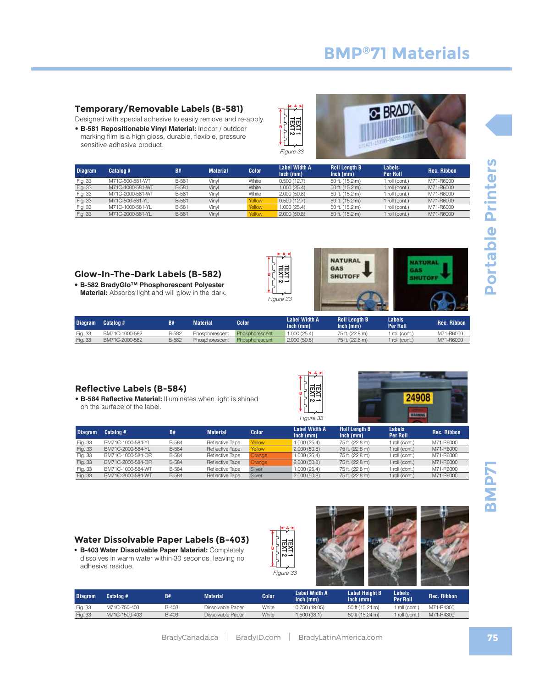Fig. 33 M71C-750-403 B-403 Dissolvable Paper White 0.750 (19.05) 50 ft (15.24 m) 1 roll (cont.) M71-R4300 Fig. 33 M71C-1500-403 B-403 Dissolvable Paper White 1.500 (38.1) 50 ft (15.24 m) 1 roll (cont.) M71-R4300

**Inch (mm)**

## **BMP®71 Materials**

**& BRADY** 

#### **Temporary/Removable Labels (B-581)**

Designed with special adhesive to easily remove and re-apply.

- **B-581 Repositionable Vinyl Material:** Indoor / outdoor
- marking film is a high gloss, durable, flexible, pressure sensitive adhesive product.

| <b>Diagram</b> | Catalog #        | B#    | <b>Material</b> | <b>Color</b> | Label Width A<br>$lnch$ ( $mm$ ) | <b>Roll Length B</b><br>$lnch$ (mm) | Labels<br><b>Per Roll</b> | <b>Rec. Ribbon</b> |
|----------------|------------------|-------|-----------------|--------------|----------------------------------|-------------------------------------|---------------------------|--------------------|
| Fig. 33        | M71C-500-581-WT  | B-581 | Vinvl           | White        | 0.500(12.7)                      | 50 ft. (15.2 m)                     | roll (cont.)              | M71-R6000          |
| Fig. 33        | M71C-1000-581-WT | B-581 | Vinvl           | White        | 1.000(25.4)                      | 50 ft. (15.2 m)                     | roll (cont.)              | M71-R6000          |
| Fig. 33        | M71C-2000-581-WT | B-581 | Vinvl           | White        | 2,000(50.8)                      | 50 ft. (15.2 m)                     | roll (cont.)              | M71-R6000          |
| Fig. 33        | M71C-500-581-YL  | B-581 | Vinvl           | Yellow       | 0.500(12.7)                      | 50 ft. (15.2 m)                     | roll (cont.)              | M71-R6000          |
| Fig. 33        | M71C-1000-581-YL | B-581 | Vinvl           | Yellow       | 1.000(25.4)                      | 50 ft. (15.2 m)                     | roll (cont.)              | M71-R6000          |
| Fig. 33        | M71C-2000-581-YL | B-581 | Vinvl           | Yellow       | 2.000(50.8)                      | 50 ft. (15.2 m)                     | roll (cont.)              | M71-R6000          |
|                |                  |       |                 |              |                                  |                                     |                           |                    |

Figure 33

**B**

**A**

U

#### **Glow-In-The-Dark Labels (B-582)**

• **B-582 BradyGlo™ Phosphorescent Polyester Material:** Absorbs light and will glow in the dark.

| ٢. |              | VΓI<br>Figure |
|----|--------------|---------------|
|    | <b>Color</b> |               |

| в<br>$\sim$ $-$      | GAS<br><b>SHUTOFF</b> |               |     |
|----------------------|-----------------------|---------------|-----|
| Figure 33            |                       |               |     |
| <b>Label Width A</b> | <b>Roll Lenath B</b>  | <b>Labels</b> | . . |

**NATURAL** 

| <b>Diagram</b> | <b>Catalog #1</b> | B#           | Material <sup>®</sup> | Color          | Label Width A<br>Inch (mm) | <b>Roll Lenath B</b><br>$lnch$ ( $mm$ ) | Labels<br>Per Roll | <b>Rec. Ribbon</b> |
|----------------|-------------------|--------------|-----------------------|----------------|----------------------------|-----------------------------------------|--------------------|--------------------|
| Fig. 33        | BM71C-1000-582    | <b>B-582</b> | Phosphorescent        | Phosphorescent | 1.000(25.4)                | 75 ft. (22.8 m)                         | 1 roll (cont.)     | M71-R6000          |
| Fig. 33        | BM71C-2000-582    | <b>B-582</b> | Phosphorescent        | Phosphorescent | 2,000(50.8)                | 75 ft. (22.8 m)                         | roll (cont.)       | M71-R6000          |

 $\frac{44}{1}$ 

#### **Reflective Labels (B-584)**

• **B-584 Reflective Material:** Illuminates when light is shined on the surface of the label.

| <b>Diagram</b> | Catalog #         | <b>B#</b>    | <b>Material</b> | <b>Color</b> | <b>Label Width A</b><br>$lnch$ (mm) | <b>Roll Length B</b><br>$lnch$ (mm) | <b>Labels</b><br><b>Per Roll</b> | <b>Rec. Ribbor</b> |
|----------------|-------------------|--------------|-----------------|--------------|-------------------------------------|-------------------------------------|----------------------------------|--------------------|
| Fig. 33        | BM71C-1000-584-YL | <b>B-584</b> | Reflective Tape | Yellow       | 1.000(25.4)                         | 75 ft. (22.8 m)                     | 1 roll (cont.)                   | M71-R6000          |
| Fig. 33        | BM71C-2000-584-YL | <b>B-584</b> | Reflective Tape | Yellow       | 2.000(50.8)                         | 75 ft. (22.8 m)                     | $1$ roll (cont.)                 | M71-R6000          |
| Fig. 33        | BM71C-1000-584-OR | <b>B-584</b> | Reflective Tape | Orange       | 1.000(25.4)                         | 75 ft. (22.8 m)                     | 1 roll (cont.)                   | M71-R6000          |
| Fig. 33        | BM71C-2000-584-OR | <b>B-584</b> | Reflective Tape | Orange       | 2.000(50.8)                         | 75 ft. (22.8 m)                     | $1$ roll (cont.)                 | M71-R6000          |
| Fig. 33        | BM71C-1000-584-WT | <b>B-584</b> | Reflective Tape | Silver       | 1,000(25.4)                         | 75 ft. (22.8 m)                     | 1 roll (cont.)                   | M71-R6000          |
| Fig. 33        | BM71C-2000-584-WT | <b>B-584</b> | Reflective Tape | Silver       | 2.000(50.8)                         | 75 ft. (22.8 m)                     | 1 roll (cont.)                   | M71-R6000          |

Figure 33

**B**

**A**

#### **Water Dissolvable Paper Labels (B-403)**

**• B-403 Water Dissolvable Paper Material:** Completely dissolves in warm water within 30 seconds, leaving no adhesive residue.

**Diagram Catalog # B# Material Color Label Width A** 





**Labels** 

**Per Roll Rec. Ribbon**

24908

**WARNING** 

**Label Height B Inch (mm)**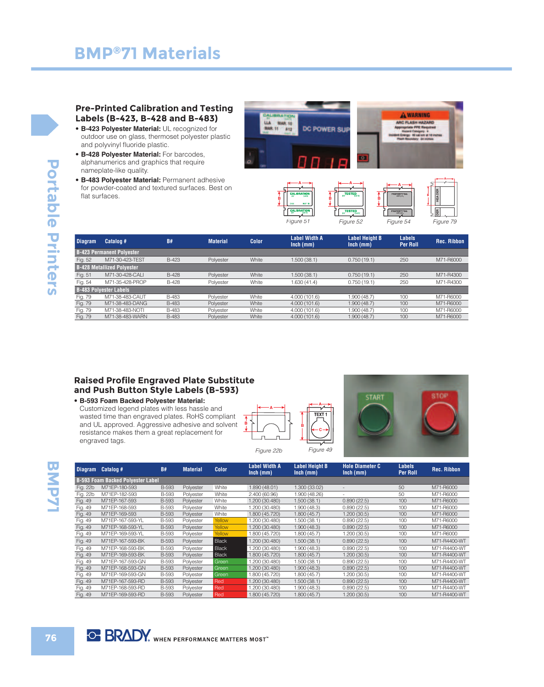#### **Pre-Printed Calibration and Testing Labels (B-423, B-428 and B-483)**

- **B-423 Polyester Material:** UL recognized for outdoor use on glass, thermoset polyester plastic and polyvinyl fluoride plastic.
- **B-428 Polyester Material:** For barcodes, alphanumerics and graphics that require nameplate-like quality.
- **B-483 Polyester Material:** Permanent adhesive for powder-coated and textured surfaces. Best on flat surfaces.



Figure 52

| <b>Diagram</b> | Catalog #                         | <b>B#</b>    | <b>Material</b> | <b>Color</b> | <b>Label Width A</b><br>$lnch$ (mm) | <b>Label Height B</b><br>$lnch$ (mm) | <b>Labels</b><br><b>Per Roll</b> | <b>Rec. Ribbon</b> |
|----------------|-----------------------------------|--------------|-----------------|--------------|-------------------------------------|--------------------------------------|----------------------------------|--------------------|
|                | <b>B-423 Permanent Polyester</b>  |              |                 |              |                                     |                                      |                                  |                    |
| Fig. 52        | M71-30-423-TFST                   | <b>B-423</b> | Polyester       | White        | 1,500(38.1)                         | 0.750(19.1)                          | 250                              | M71-R6000          |
|                | <b>B-428 Metallized Polyester</b> |              |                 |              |                                     |                                      |                                  |                    |
| Fig. 51        | M71-30-428-CALI                   | <b>B-428</b> | Polyester       | White        | 1.500(38.1)                         | 0.750(19.1)                          | 250                              | M71-R4300          |
| Fig. 54        | M71-35-428-PROP                   | <b>B-428</b> | Polyester       | White        | 1.630(41.4)                         | 0.750(19.1)                          | 250                              | M71-R4300          |
|                | <b>B-483 Polyester Labels</b>     |              |                 |              |                                     |                                      |                                  |                    |
| Fig. 79        | M71-38-483-CAUT                   | <b>B-483</b> | Polvester       | White        | 4.000 (101.6)                       | 1.900(48.7)                          | 100                              | M71-R6000          |
| Fig. 79        | M71-38-483-DANG                   | <b>B-483</b> | Polvester       | White        | 4.000 (101.6)                       | 1.900(48.7)                          | 100                              | M71-R6000          |
| Fig. 79        | M71-38-483-NOTI                   | <b>B-483</b> | Polvester       | White        | 4.000 (101.6)                       | 1.900(48.7)                          | 100                              | M71-R6000          |
| Fig. 79        | M71-38-483-WARN                   | <b>B-483</b> | Polyester       | White        | 4.000 (101.6)                       | 1.900 (48.7)                         | 100                              | M71-R6000          |
|                |                                   |              |                 |              |                                     |                                      |                                  |                    |

Figure 51

#### **Raised Profile Engraved Plate Substitute and Push Button Style Labels (B-593)**

- **B-593 Foam Backed Polyester Material:**
- Customized legend plates with less hassle and wasted time than engraved plates. RoHS compliant and UL approved. Aggressive adhesive and solvent resistance makes them a great replacement for engraved tags.





Figure 54

Figure 79

| <b>Diagram</b> | Catalog #                                | B#           | Material  | Color        | Label Width A<br>$lnch$ (mm) | Label Height B<br>$lnch$ (mm) | Hole Diameter C<br>$lnch$ (mm) | Labels<br><b>Per Roll</b> | <b>Rec. Ribbon</b> |
|----------------|------------------------------------------|--------------|-----------|--------------|------------------------------|-------------------------------|--------------------------------|---------------------------|--------------------|
|                | <b>B-593 Foam Backed Polyester Label</b> |              |           |              |                              |                               |                                |                           |                    |
| Fig. 22b       | M71EP-180-593                            | <b>B-593</b> | Polyester | White        | 1.890 (48.01)                | 1.300 (33.02)                 |                                | 50                        | M71-R6000          |
| Fig. 22b       | M71EP-182-593                            | <b>B-593</b> | Polyester | White        | 2.400 (60.96)                | 1.900 (48.26)                 |                                | 50                        | M71-R6000          |
| Fig. 49        | M71EP-167-593                            | <b>B-593</b> | Polyester | White        | 1.200 (30.480)               | 1.500(38.1)                   | 0.890(22.5)                    | 100                       | M71-R6000          |
| Fig. 49        | M71EP-168-593                            | <b>B-593</b> | Polyester | White        | 1.200 (30.480)               | 1.900 (48.3)                  | 0.890(22.5)                    | 100                       | M71-R6000          |
| Fig. 49        | M71EP-169-593                            | <b>B-593</b> | Polyester | White        | 1.800 (45.720)               | 1.800(45.7)                   | 1.200(30.5)                    | 100                       | M71-R6000          |
| Fig. 49        | M71EP-167-593-YL                         | <b>B-593</b> | Polyester | Yellow       | 1.200 (30.480)               | 1.500 (38.1)                  | 0.890(22.5)                    | 100                       | M71-R6000          |
| Fig. 49        | M71EP-168-593-YL                         | <b>B-593</b> | Polyester | Yellow       | 1.200 (30.480)               | 1.900(48.3)                   | 0.890(22.5)                    | 100                       | M71-R6000          |
| Fig. 49        | M71EP-169-593-YL                         | <b>B-593</b> | Polyester | Yellow       | 1.800 (45.720)               | 1.800 (45.7)                  | 1.200 (30.5)                   | 100                       | M71-R6000          |
| Fig. 49        | M71EP-167-593-BK                         | <b>B-593</b> | Polyester | <b>Black</b> | 1.200 (30.480)               | 1.500(38.1)                   | 0.890(22.5)                    | 100                       | M71-R4400-WT       |
| Fig. 49        | M71EP-168-593-BK                         | <b>B-593</b> | Polyester | <b>Black</b> | 1.200 (30.480)               | 1.900(48.3)                   | 0.890(22.5)                    | 100                       | M71-R4400-WT       |
| Fig. 49        | M71EP-169-593-BK                         | <b>B-593</b> | Polyester | <b>Black</b> | 1.800 (45.720)               | 1.800(45.7)                   | 1.200(30.5)                    | 100                       | M71-R4400-WT       |
| Fig. 49        | M71EP-167-593-GN                         | <b>B-593</b> | Polyester | Green        | 1.200 (30.480)               | 1.500(38.1)                   | 0.890(22.5)                    | 100                       | M71-R4400-WT       |
| Fig. 49        | M71EP-168-593-GN                         | <b>B-593</b> | Polyester | Green        | 1.200 (30.480)               | 1.900 (48.3)                  | 0.890(22.5)                    | 100                       | M71-R4400-WT       |
| Fig. 49        | M71EP-169-593-GN                         | <b>B-593</b> | Polyester | Green        | 1.800 (45.720)               | 1.800(45.7)                   | 1.200(30.5)                    | 100                       | M71-R4400-WT       |
| Fig. 49        | M71EP-167-593-RD                         | <b>B-593</b> | Polyester | Red          | 1.200 (30.480)               | 1.500(38.1)                   | 0.890(22.5)                    | 100                       | M71-R4400-WT       |
| Fig. 49        | M71EP-168-593-RD                         | <b>B-593</b> | Polyester | Red          | 1.200 (30.480)               | 1.900 (48.3)                  | 0.890(22.5)                    | 100                       | M71-R4400-WT       |
| Fig. 49        | M71EP-169-593-RD                         | <b>B-593</b> | Polyester | Red          | 1.800 (45.720)               | 1.800 (45.7)                  | 1.200 (30.5)                   | 100                       | M71-R4400-WT       |

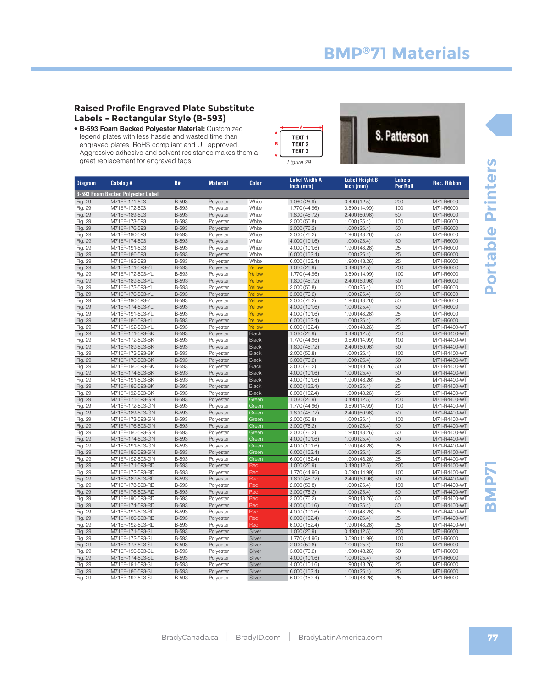• **B-593 Foam Backed Polyester Material:** Customized legend plates with less hassle and wasted time than engraved plates. RoHS compliant and UL approved. Aggressive adhesive and solvent resistance makes them a great replacement for engraved tags.

| <b>Diagram</b>     | Catalog #                                | B#                    | <b>Material</b>        | <b>Color</b>   | Label Width A<br>$lnch$ (mm)  | Label Height B<br>Inch (mm)  | Labels<br><b>Per Roll</b> | <b>Rec. Ribbon</b>           |
|--------------------|------------------------------------------|-----------------------|------------------------|----------------|-------------------------------|------------------------------|---------------------------|------------------------------|
|                    | <b>B-593 Foam Backed Polyester Label</b> |                       |                        |                |                               |                              |                           |                              |
| Fig. 29            | M71EP-171-593                            | <b>B-593</b>          | Polyester              | White          | 1.060(26.9)                   | 0.490(12.5)                  | 200                       | M71-R6000                    |
| Fig. 29            | M71EP-172-593                            | <b>B-593</b>          | Polyester              | White          | 1.770 (44.96)                 | 0.590 (14.99)                | 100                       | M71-R6000                    |
| Fig. 29            | M71EP-189-593                            | <b>B-593</b>          | Polyester              | White          | 1.800 (45.72)                 | 2.400 (60.96)                | 50                        | M71-R6000                    |
| Fig. 29            | M71EP-173-593                            | B-593                 | Polyester              | White          | 2.000 (50.8)                  | 1.000(25.4)                  | 100                       | M71-R6000                    |
| Fig. 29            | M71EP-176-593                            | <b>B-593</b>          | Polyester              | White          | 3.000(76.2)                   | 1.000(25.4)                  | 50                        | M71-R6000                    |
| Fig. 29            | M71EP-190-593                            | <b>B-593</b>          | Polyester              | White          | 3.000 (76.2)                  | 1.900 (48.26)                | 50                        | M71-R6000                    |
| Fig. 29            | M71EP-174-593                            | <b>B-593</b>          | Polyester              | White          | 4.000 (101.6)                 | 1.000(25.4)                  | 50                        | M71-R6000                    |
| Fig. 29            | M71EP-191-593                            | <b>B-593</b>          | Polyester              | White          | 4.000 (101.6)                 | 1.900 (48.26)                | 25                        | M71-R6000                    |
| Fig. 29            | M71EP-186-593                            | <b>B-593</b>          | Polyester              | White          | 6.000(152.4)                  | 1.000(25.4)                  | 25                        | M71-R6000                    |
| Fig. 29            | M71EP-192-593                            | <b>B-593</b>          | Polyester              | White          | 6.000(152.4)                  | 1.900 (48.26)                | $\overline{25}$           | M71-R6000                    |
| Fig. 29            | M71EP-171-593-YL                         | B-593                 | Polyester              | Yellow         | 1.060(26.9)                   | 0.490(12.5)                  | 200                       | M71-R6000                    |
| Fig. 29            | M71EP-172-593-YL                         | B-593                 | Polyester              | Yellow         | 1.770 (44.96)                 | 0.590(14.99)                 | 100                       | M71-R6000                    |
| Fig. 29            | M71EP-189-593-YL                         | <b>B-593</b>          | Polyester              | Yellow         | 1.800 (45.72)                 | 2.400 (60.96)                | 50                        | M71-R6000                    |
| Fig. 29            | M71EP-173-593-YL                         | <b>B-593</b>          | Polyester              | Yellow         | 2.000(50.8)                   | 1.000(25.4)                  | 100                       | M71-R6000                    |
| Fig. 29            | M71EP-176-593-YL                         | <b>B-593</b>          | Polyester              | Yellow         | 3.000(76.2)                   | 1.000(25.4)                  | 50                        | M71-R6000                    |
| Fig. 29            | M71EP-190-593-YL                         | <b>B-593</b>          | Polyester              | Yellow         | 3.000(76.2)                   | 1.900 (48.26)                | 50                        | M71-R6000                    |
| Fig. 29            | M71EP-174-593-YL                         | <b>B-593</b>          | Polyester              | Yellow         | 4.000 (101.6)                 | 1.000(25.4)                  | 50                        | M71-R6000                    |
| Fig. 29            | M71EP-191-593-YL                         | <b>B-593</b>          | Polyester              | Yellow         | 4.000 (101.6)                 | 1.900 (48.26)                | $\overline{25}$           | M71-R6000                    |
| Fig. 29            | M71EP-186-593-YL                         | B-593                 | Polyester              | Yellow         | 6.000(152.4)                  | 1.000(25.4)                  | 25                        | M71-R6000                    |
| Fig. 29            | M71EP-192-593-YL                         | <b>B-593</b>          | Polyester              | Yellow         | 6.000(152.4)                  | 1.900 (48.26)                | $\overline{25}$           | M71-R4400-WT                 |
| Fig. 29            | M71EP-171-593-BK                         | <b>B-593</b>          | Polyester              | <b>Black</b>   | 1.060(26.9)                   | 0.490(12.5)                  | 200                       | M71-R4400-WT                 |
| Fig. 29            | M71EP-172-593-BK                         | <b>B-593</b>          | Polyester              | <b>Black</b>   | 1.770 (44.96)                 | 0.590 (14.99)                | 100                       | M71-R4400-WT                 |
| Fig. 29            | M71EP-189-593-BK                         | <b>B-593</b>          | Polyester              | <b>Black</b>   | 1.800 (45.72)                 | 2.400 (60.96)                | 50                        | M71-R4400-WT                 |
| Fig. 29            | M71EP-173-593-BK                         | B-593                 | Polyester              | <b>Black</b>   | 2.000(50.8)                   | 1.000(25.4)                  | 100                       | M71-R4400-WT                 |
| Fig. 29            | M71EP-176-593-BK                         | B-593                 | Polyester              | <b>Black</b>   | 3.000(76.2)                   | 1.000(25.4)                  | 50                        | M71-R4400-WT                 |
| Fig. 29            | M71EP-190-593-BK                         | <b>B-593</b>          | Polyester              | <b>Black</b>   | 3.000 (76.2)                  | 1.900 (48.26)                | 50                        | M71-R4400-WT                 |
| Fig. 29            | M71EP-174-593-BK                         | B-593                 | Polyester              | <b>Black</b>   | 4.000 (101.6)                 | 1.000(25.4)                  | 50                        | M71-R4400-WT                 |
| Fig. 29            | M71EP-191-593-BK                         | B-593                 | Polyester              | <b>Black</b>   | 4.000 (101.6)                 | 1.900 (48.26)                | 25                        | M71-R4400-WT                 |
| Fig. 29            | M71EP-186-593-BK                         | <b>B-593</b>          | Polyester              | <b>Black</b>   | 6.000(152.4)                  | 1.000(25.4)                  | 25                        | M71-R4400-WT                 |
| Fig. 29            | M71EP-192-593-BK                         | B-593                 | Polyester              | <b>Black</b>   | 6.000(152.4)                  | 1.900 (48.26)                | 25<br>200                 | M71-R4400-WT                 |
| Fig. 29            | M71EP-171-593-GN                         | <b>B-593</b>          | Polyester              | Green<br>Green | 1.060(26.9)                   | 0.490(12.5)                  | 100                       | M71-R4400-WT<br>M71-R4400-WT |
| Fig. 29            | M71EP-172-593-GN                         | B-593<br><b>B-593</b> | Polyester              |                | 1.770 (44.96)                 | 0.590 (14.99)                | 50                        |                              |
| Fig. 29            | M71EP-189-593-GN<br>M71EP-173-593-GN     | <b>B-593</b>          | Polyester              | Green          | 1.800 (45.72)<br>2.000(50.8)  | 2.400 (60.96)                | 100                       | M71-R4400-WT<br>M71-R4400-WT |
| Fig. 29            |                                          | B-593                 | Polyester              | Green          |                               | 1.000(25.4)                  | 50                        |                              |
| Fig. 29            | M71EP-176-593-GN<br>M71EP-190-593-GN     | B-593                 | Polyester              | Green<br>Green | 3.000(76.2)                   | 1.000(25.4)                  | 50                        | M71-R4400-WT<br>M71-R4400-WT |
| Fig. 29<br>Fig. 29 | M71EP-174-593-GN                         | <b>B-593</b>          | Polyester              | Green          | 3.000 (76.2)<br>4.000 (101.6) | 1.900 (48.26)<br>1.000(25.4) | 50                        | M71-R4400-WT                 |
| Fig. 29            | M71EP-191-593-GN                         | B-593                 | Polyester<br>Polyester | Green          | 4.000 (101.6)                 | 1.900 (48.26)                | 25                        | M71-R4400-WT                 |
| Fig. 29            | M71EP-186-593-GN                         | <b>B-593</b>          | Polyester              | Green          | 6.000(152.4)                  | 1.000(25.4)                  | 25                        | M71-R4400-WT                 |
| Fig. 29            | M71EP-192-593-GN                         | <b>B-593</b>          | Polyester              | Green          | 6.000 (152.4)                 | 1.900 (48.26)                | 25                        | M71-R4400-WT                 |
| Fig. 29            | M71EP-171-593-RD                         | <b>B-593</b>          | Polyester              | Red            | 1.060(26.9)                   | 0.490(12.5)                  | 200                       | M71-R4400-WT                 |
| Fig. 29            | M71EP-172-593-RD                         | <b>B-593</b>          | Polyester              | Red            | 1.770 (44.96)                 | 0.590(14.99)                 | 100                       | M71-R4400-WT                 |
| Fig. 29            | M71EP-189-593-RD                         | B-593                 | Polyester              | Red            | 1.800 (45.72)                 | 2.400 (60.96)                | 50                        | M71-R4400-WT                 |
| Fig. 29            | M71EP-173-593-RD                         | B-593                 | Polyester              | Red            | 2.000(50.8)                   | 1.000(25.4)                  | 100                       | M71-R4400-WT                 |
| Fig. 29            | M71EP-176-593-RD                         | <b>B-593</b>          | Polyester              | Red            | 3.000(76.2)                   | 1.000(25.4)                  | 50                        | M71-R4400-WT                 |
| Fig. 29            | M71EP-190-593-RD                         | <b>B-593</b>          | Polyester              | Red            | 3.000(76.2)                   | 1.900 (48.26)                | 50                        | M71-R4400-WT                 |
| Fig. 29            | M71EP-174-593-RD                         | <b>B-593</b>          | Polyester              | Red            | 4.000 (101.6)                 | 1.000(25.4)                  | 50                        | M71-R4400-WT                 |
| Fig. 29            | M71EP-191-593-RD                         | B-593                 | Polyester              | Red            | 4.000 (101.6)                 | 1.900 (48.26)                | 25                        | M71-R4400-WT                 |
| Fig. 29            | M71EP-186-593-RD                         | B-593                 | Polyester              | Red            | 6.000(152.4)                  | 1.000(25.4)                  | 25                        | M71-R4400-WT                 |
| Fig. 29            | M71EP-192-593-RD                         | <b>B-593</b>          | Polyester              | Red            | 6.000(152.4)                  | 1.900 (48.26)                | 25                        | M71-R4400-WT                 |
| Fig. 29            | M71EP-171-593-SL                         | B-593                 | Polyester              | Silver         | 1.060(26.9)                   | 0.490(12.5)                  | 200                       | M71-R6000                    |
| Fig. 29            | M71EP-172-593-SL                         | B-593                 | Polyester              | Silver         | 1.770 (44.96)                 | 0.590(14.99)                 | 100                       | M71-R6000                    |
| Fig. 29            | M71EP-173-593-SL                         | <b>B-593</b>          | Polyester              | Silver         | 2.000(50.8)                   | 1.000(25.4)                  | 100                       | M71-R6000                    |
| Fig. 29            | M71EP-190-593-SL                         | B-593                 | Polyester              | Silver         | 3.000 (76.2)                  | 1.900 (48.26)                | 50                        | M71-R6000                    |
| Fig. 29            | M71EP-174-593-SL                         | <b>B-593</b>          | Polyester              | Silver         | 4.000 (101.6)                 | 1.000(25.4)                  | 50                        | M71-R6000                    |
| Fig. 29            | M71EP-191-593-SL                         | B-593                 | Polyester              | Silver         | 4.000 (101.6)                 | 1.900 (48.26)                | 25                        | M71-R6000                    |
| Fig. 29            | M71EP-186-593-SL                         | <b>B-593</b>          | Polyester              | Silver         | 6.000(152.4)                  | 1.000(25.4)                  | $\overline{25}$           | M71-R6000                    |
| Fig. 29            | M71EP-192-593-SL                         | <b>B-593</b>          | Polyester              | Silver         | 6.000(152.4)                  | 1.900 (48.26)                | $\overline{25}$           | M71-R6000                    |

Figure 29

**B**

**A**

TEXT<sub>1</sub> TEXT<sub>2</sub> TEXT<sub>3</sub>

#### **Raised Profile Engraved Plate Substitute Labels - Rectangular Style (B-593)**





**BMP71 Portable Printers**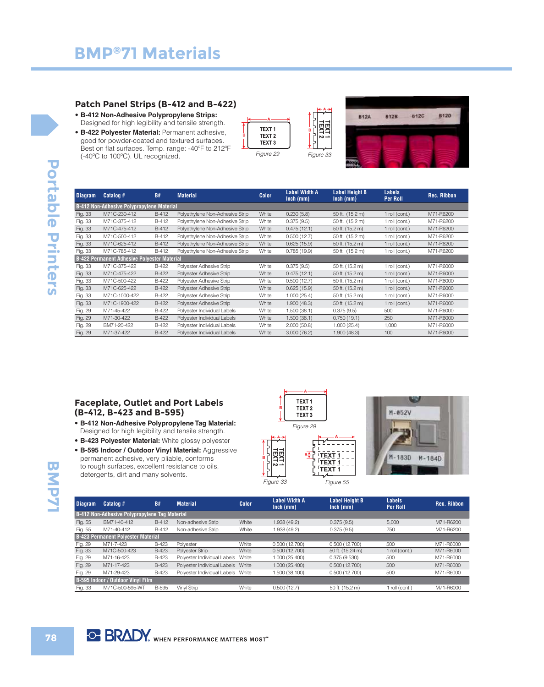#### **Patch Panel Strips (B-412 and B-422)**

- **B-412 Non-Adhesive Polypropylene Strips:**  Designed for high legibility and tensile strength.
- **B-422 Polyester Material:** Permanent adhesive, good for powder-coated and textured surfaces. Best on flat surfaces. Temp. range: -40ºF to 212ºF (-40ºC to 100ºC). UL recognized.





| <b>Diagram</b> | Catalog #                                          | <b>B#</b> | <b>Material</b>                 | <b>Color</b> | <b>Label Width A</b><br>$lnch$ (mm) | <b>Label Height B</b><br>$lnch$ (mm) | <b>Labels</b><br>Per Roll | <b>Rec. Ribbon</b> |
|----------------|----------------------------------------------------|-----------|---------------------------------|--------------|-------------------------------------|--------------------------------------|---------------------------|--------------------|
|                | B-412 Non-Adhesive Polypropylene Material          |           |                                 |              |                                     |                                      |                           |                    |
| Fig. 33        | M71C-230-412                                       | B-412     | Polyethylene Non-Adhesive Strip | White        | 0.230(5.8)                          | 50 ft. (15.2 m)                      | 1 roll (cont.)            | M71-R6200          |
| Fig. 33        | M71C-375-412                                       | B-412     | Polyethylene Non-Adhesive Strip | White        | 0.375(9.5)                          | 50 ft. (15.2 m)                      | 1 roll (cont.)            | M71-R6200          |
| Fig. 33        | M71C-475-412                                       | B-412     | Polyethylene Non-Adhesive Strip | White        | 0.475(12.1)                         | 50 ft. (15.2 m)                      | 1 roll (cont.)            | M71-R6200          |
| Fig. 33        | M71C-500-412                                       | B-412     | Polyethylene Non-Adhesive Strip | White        | 0.500(12.7)                         | 50 ft. (15.2 m)                      | 1 roll (cont.)            | M71-R6200          |
| Fig. 33        | M71C-625-412                                       | B-412     | Polyethylene Non-Adhesive Strip | White        | 0.625(15.9)                         | 50 ft. (15.2 m)                      | 1 roll (cont.)            | M71-R6200          |
| Fig. 33        | M71C-785-412                                       | B-412     | Polyethylene Non-Adhesive Strip | White        | 0.785(19.9)                         | 50 ft. (15.2 m)                      | 1 roll (cont.)            | M71-R6200          |
|                | <b>B-422 Permanent Adhesive Polyester Material</b> |           |                                 |              |                                     |                                      |                           |                    |
| Fig. 33        | M71C-375-422                                       | B-422     | Polyester Adhesive Strip        | White        | 0.375(9.5)                          | 50 ft. (15.2 m)                      | 1 roll (cont.)            | M71-R6000          |
| Fig. 33        | M71C-475-422                                       | B-422     | Polyester Adhesive Strip        | White        | 0.475(12.1)                         | 50 ft. (15.2 m)                      | 1 roll (cont.)            | M71-R6000          |
| Fig. 33        | M71C-500-422                                       | B-422     | Polyester Adhesive Strip        | White        | 0.500(12.7)                         | 50 ft. (15.2 m)                      | 1 roll (cont.)            | M71-R6000          |
| Fig. 33        | M71C-625-422                                       | B-422     | Polyester Adhesive Strip        | White        | 0.625(15.9)                         | 50 ft. (15.2 m)                      | 1 roll (cont.)            | M71-R6000          |
| Fig. 33        | M71C-1000-422                                      | B-422     | Polyester Adhesive Strip        | White        | 1.000(25.4)                         | 50 ft. (15.2 m)                      | 1 roll (cont.)            | M71-R6000          |
| Fig. 33        | M71C-1900-422                                      | B-422     | Polyester Adhesive Strip        | White        | 1.900(48.3)                         | 50 ft. (15.2 m)                      | 1 roll (cont.)            | M71-R6000          |
| Fig. 29        | M71-45-422                                         | B-422     | Polyester Individual Labels     | White        | 1.500(38.1)                         | 0.375(9.5)                           | 500                       | M71-R6000          |
| Fig. 29        | M71-30-422                                         | B-422     | Polyester Individual Labels     | White        | 1.500(38.1)                         | 0.750(19.1)                          | 250                       | M71-R6000          |
| Fig. 29        | BM71-20-422                                        | B-422     | Polyester Individual Labels     | White        | 2.000(50.8)                         | 1.000(25.4)                          | 1,000                     | M71-R6000          |
| Fig. 29        | M71-37-422                                         | B-422     | Polyester Individual Labels     | White        | 3.000(76.2)                         | 1.900(48.3)                          | 100                       | M71-R6000          |

#### **Faceplate, Outlet and Port Labels (B-412, B-423 and B-595)**

- **B-412 Non-Adhesive Polypropylene Tag Material:**  Designed for high legibility and tensile strength.
- **B-423 Polyester Material:** White glossy polyester
- **B-595 Indoor / Outdoor Vinyl Material:** Aggressive permanent adhesive, very pliable, conforms to rough surfaces, excellent resistance to oils, detergents, dirt and many solvents.



**A**

**B**

Figure 29





| <b>Diagram</b> | Catalog #                                            | <b>B#</b>    | <b>Material</b>                   | <b>Color</b> | <b>Label Width A</b><br>$lnch$ (mm) | <b>Label Height B</b><br>$lnch$ (mm) | <b>Labels</b><br><b>Per Roll</b> | <b>Rec. Ribbon</b> |
|----------------|------------------------------------------------------|--------------|-----------------------------------|--------------|-------------------------------------|--------------------------------------|----------------------------------|--------------------|
|                | <b>B-412 Non-Adhesive Polypropylene Tag Material</b> |              |                                   |              |                                     |                                      |                                  |                    |
| Fig. 55        | BM71-40-412                                          | B-412        | Non-adhesive Strip                | White        | 1.938(49.2)                         | 0.375(9.5)                           | 5.000                            | M71-R6200          |
| Fig. 55        | M71-40-412                                           | B-412        | Non-adhesive Strip                | White        | 1.938 (49.2)                        | 0.375(9.5)                           | 750                              | M71-R6200          |
|                | <b>B-423 Permanent Polyester Material</b>            |              |                                   |              |                                     |                                      |                                  |                    |
| Fig. 29        | M71-7-423                                            | <b>B-423</b> | Polvester                         | White        | 0.500(12.700)                       | 0.500(12.700)                        | 500                              | M71-R6000          |
| Fig. 33        | M71C-500-423                                         | <b>B-423</b> | Polyester Strip                   | White        | 0.500(12.700)                       | 50 ft. (15.24 m)                     | 1 roll (cont.)                   | M71-R6000          |
| Fig. 29        | M71-16-423                                           | <b>B-423</b> | Polyester Individual Labels       | White        | 1.000 (25.400)                      | 0.375(9.530)                         | 500                              | M71-R6000          |
| Fig. 29        | M71-17-423                                           | <b>B-423</b> | Polyester Individual Labels White |              | 1.000 (25.400)                      | 0.500(12.700)                        | 500                              | M71-R6000          |
| Fig. 29        | M71-29-423                                           | <b>B-423</b> | Polyester Individual Labels White |              | 1.500 (38.100)                      | 0.500(12.700)                        | 500                              | M71-R6000          |
|                | B-595 Indoor / Outdoor Vinyl Film                    |              |                                   |              |                                     |                                      |                                  |                    |
| Fig. 33        | M71C-500-595-WT                                      | <b>B-595</b> | Vinyl Strip                       | White        | 0.500(12.7)                         | 50 ft. (15.2 m)                      | 1 roll (cont.)                   | M71-R6000          |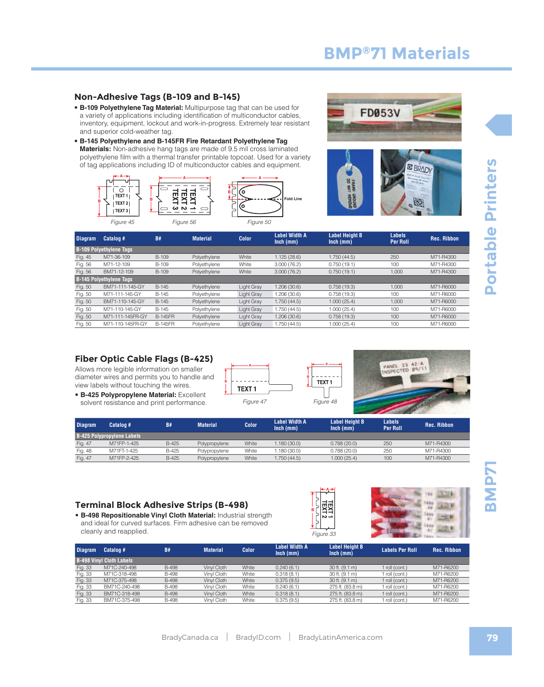#### **Non-Adhesive Tags (B-109 and B-145)**

- **B-109 Polyethylene Tag Material:** Multipurpose tag that can be used for a variety of applications including identification of multiconductor cables, inventory, equipment, lockout and work-in-progress. Extremely tear resistant and superior cold-weather tag.
- **B-145 Polyethylene and B-145FR Fire Retardant Polyethylene Tag Materials:** Non-adhesive hang tags are made of 9.5 mil cross laminated polyethylene film with a thermal transfer printable topcoat. Used for a variety of tag applications including ID of multiconductor cables and equipment.







| <b>Diagram</b> | Catalog #                      | <b>B#</b>      | <b>Material</b> | <b>Color</b> | <b>Label Width A</b><br>$lnch$ (mm) | <b>Label Height B</b><br>$lnch$ (mm) | <b>Labels</b><br><b>Per Roll</b> | <b>Rec. Ribbon</b> |
|----------------|--------------------------------|----------------|-----------------|--------------|-------------------------------------|--------------------------------------|----------------------------------|--------------------|
|                | <b>B-109 Polyethylene Tags</b> |                |                 |              |                                     |                                      |                                  |                    |
| Fig. 45        | M71-36-109                     | <b>B-109</b>   | Polyethylene    | White        | 1.125(28.6)                         | 1.750 (44.5)                         | 250                              | M71-R4300          |
| Fig. 56        | M71-12-109                     | B-109          | Polyethylene    | White        | 3.000(76.2)                         | 0.750(19.1)                          | 100                              | M71-R4300          |
| Fig. 56        | BM71-12-109                    | <b>B-109</b>   | Polyethylene    | White        | 3.000(76.2)                         | 0.750(19.1)                          | 1,000                            | M71-R4300          |
|                | <b>B-145 Polyethylene Tags</b> |                |                 |              |                                     |                                      |                                  |                    |
| Fig. 50        | BM71-111-145-GY                | B-145          | Polyethylene    | Light Gray   | 1.206 (30.6)                        | 0.758(19.3)                          | 1.000                            | M71-R6000          |
| Fig. 50        | M71-111-145-GY                 | B-145          | Polyethylene    | Light Grav   | 1.206 (30.6)                        | 0.758(19.3)                          | 100                              | M71-R6000          |
| Fig. 50        | BM71-110-145-GY                | B-145          | Polvethylene    | Light Gray   | 1.750 (44.5)                        | 1,000(25.4)                          | 1,000                            | M71-R6000          |
| Fig. 50        | M71-110-145-GY                 | B-145          | Polyethylene    | Light Gray   | 1.750 (44.5)                        | 1.000(25.4)                          | 100                              | M71-R6000          |
| Fig. 50        | M71-111-145FR-GY               | <b>B-145FR</b> | Polyethylene    | Liaht Grav   | 1.206 (30.6)                        | 0.758(19.3)                          | 100                              | M71-R6000          |
| Fig. 50        | M71-110-145FR-GY               | <b>B-145FR</b> | Polyethylene    | Light Gray   | 1.750(44.5)                         | 1.000(25.4)                          | 100                              | M71-R6000          |

#### **Fiber Optic Cable Flags (B-425)**

Allows more legible information on smaller diameter wires and permits you to handle and view labels without touching the wires.

• **B-425 Polypropylene Material:** Excellent solvent resistance and print performance.





| <b>Diagram</b> | Catalog #                         | <b>B#</b> | <b>Material</b> | Color <b>1</b> | <b>Label Width A</b><br>$lnch$ (mm) | <b>Label Height B</b><br>$lnch$ (mm) | <b>Labels</b><br><b>Per Roll</b> | <b>Rec. Ribbon</b> |
|----------------|-----------------------------------|-----------|-----------------|----------------|-------------------------------------|--------------------------------------|----------------------------------|--------------------|
|                | <b>B-425 Polypropylene Labels</b> |           |                 |                |                                     |                                      |                                  |                    |
| Fig. 47        | M71FP-1-425                       | B-425     | Polypropylene   | White          | .180(30.0)                          | 0.788(20.0)                          | 250                              | M71-R4300          |
| Fig. 48        | M71FT-1-425                       | B-425     | Polypropylene   | White          | 1.180 (30.0)                        | 0.788(20.0)                          | 250                              | M71-R4300          |
| Fig. 47        | M71FP-2-425                       | B-425     | Polypropylene   | White          | .750(44.5)                          | 1.000(25.4)                          | 100                              | M71-R4300          |

#### **Terminal Block Adhesive Strips (B-498)**

• **B-498 Repositionable Vinyl Cloth Material:** Industrial strength and ideal for curved surfaces. Firm adhesive can be removed cleanly and reapplied.





| <b>Diagram</b> | Catalog #                       | <b>B#</b>    | <b>Material</b> | <b>Color</b> | Label Width A<br>$lnch$ (mm) | <b>Label Height B</b><br>$lnch$ (mm) | <b>Labels Per Roll</b> | <b>Rec. Ribbon</b> |
|----------------|---------------------------------|--------------|-----------------|--------------|------------------------------|--------------------------------------|------------------------|--------------------|
|                | <b>B-498 Vinyl Cloth Labels</b> |              |                 |              |                              |                                      |                        |                    |
| Fig. 33        | M71C-240-498                    | <b>B-498</b> | Vinyl Cloth     | White        | 0.240(6.1)                   | $30$ ft. $(9.1 \text{ m})$           | 1 roll (cont.)         | M71-R6200          |
| Fig. 33        | M71C-318-498                    | <b>B-498</b> | Vinyl Cloth     | White        | 0.318(8.1)                   | 30 ft. (9.1 m)                       | 1 roll (cont.)         | M71-R6200          |
| Fig. 33        | M71C-375-498                    | <b>B-498</b> | Vinvl Cloth     | White        | 0.375(9.5)                   | $30$ ft. $(9.1 \text{ m})$           | 1 roll (cont.)         | M71-R6200          |
| Fig. 33        | BM71C-240-498                   | <b>B-498</b> | Vinyl Cloth     | White        | 0.240(6.1)                   | 275 ft. (83.8 m)                     | 1 roll (cont.)         | M71-R6200          |
| Fig. 33        | BM71C-318-498                   | <b>B-498</b> | Vinyl Cloth     | White        | 0.318(8.1)                   | 275 ft. (83.8 m)                     | 1 roll (cont.)         | M71-R6200          |
| Fig. 33        | BM71C-375-498                   | <b>B-498</b> | Vinyl Cloth     | White        | 0.375(9.5)                   | 275 ft. (83.8 m)                     | 1 roll (cont.)         | M71-R6200          |

**THMB**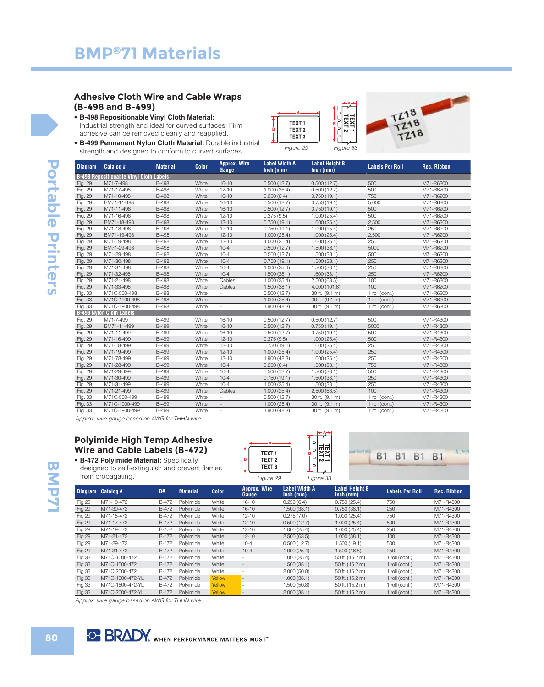#### **Adhesive Cloth Wire and Cable Wraps (B-498 and B-499)**

• **B-498 Repositionable Vinyl Cloth Material:**  Industrial strength and ideal for curved surfaces. Firm adhesive can be removed cleanly and reapplied.





• **B-499 Permanent Nylon Cloth Material:** Durable industrial strength and designed to conform to curved surfaces.

| <b>Diagram</b> | Catalog #                                      | <b>Material</b> | <b>Color</b> | <b>Approx. Wire</b><br>Gauge | <b>Label Width A</b><br>$lnch$ (mm) | <b>Label Height B</b><br>$lnch$ (mm) | <b>Labels Per Roll</b> | <b>Rec. Ribbon</b> |
|----------------|------------------------------------------------|-----------------|--------------|------------------------------|-------------------------------------|--------------------------------------|------------------------|--------------------|
|                | <b>B-498 Repositionable Vinyl Cloth Labels</b> |                 |              |                              |                                     |                                      |                        |                    |
| Fig. 29        | M71-7-498                                      | <b>B-498</b>    | White        | $16 - 10$                    | 0.500(12.7)                         | 0.500(12.7)                          | 500                    | M71-R6200          |
| Fig. 29        | M71-17-498                                     | <b>B-498</b>    | White        | $12 - 10$                    | 1.000(25.4)                         | 0.500(12.7)                          | 500                    | M71-R6200          |
| Fig. 29        | M71-10-498                                     | <b>B-498</b>    | White        | $16 - 10$                    | 0.250(6.4)                          | 0.750(19.1)                          | 750                    | M71-R6200          |
| Fig. 29        | BM71-11-498                                    | <b>B-498</b>    | White        | $16 - 10$                    | 0.500(12.7)                         | 0.750(19.1)                          | 5,000                  | M71-R6200          |
| Fig. 29        | M71-11-498                                     | <b>B-498</b>    | White        | $16 - 10$                    | 0.500(12.7)                         | 0.750(19.1)                          | 500                    | M71-R6200          |
| Fig. 29        | M71-16-498                                     | <b>B-498</b>    | White        | $12 - 10$                    | 0.375(9.5)                          | 1.000(25.4)                          | 500                    | M71-R6200          |
| Fig. 29        | BM71-18-498                                    | <b>B-498</b>    | White        | $12 - 10$                    | 0.750(19.1)                         | 1.000(25.4)                          | 2,500                  | M71-R6200          |
| Fig. 29        | M71-18-498                                     | <b>B-498</b>    | White        | $12 - 10$                    | 0.750(19.1)                         | 1.000(25.4)                          | 250                    | M71-R6200          |
| Fig. 29        | BM71-19-498                                    | <b>B-498</b>    | White        | $12 - 10$                    | 1.000(25.4)                         | 1.000(25.4)                          | 2.500                  | M71-R6200          |
| Fig. 29        | M71-19-498                                     | <b>B-498</b>    | White        | $12 - 10$                    | 1.000(25.4)                         | 1.000(25.4)                          | 250                    | M71-R6200          |
| Fig. 29        | BM71-29-498                                    | <b>B-498</b>    | White        | $10 - 4$                     | 0.500(12.7)                         | 1.500(38.1)                          | 5000                   | M71-R6200          |
| Fig. 29        | M71-29-498                                     | <b>B-498</b>    | White        | $10 - 4$                     | 0.500(12.7)                         | 1.500(38.1)                          | 500                    | M71-R6200          |
| Fig. 29        | M71-30-498                                     | <b>B-498</b>    | White        | $10 - 4$                     | 0.750(19.1)                         | 1.500(38.1)                          | 250                    | M71-R6200          |
| Fig. 29        | M71-31-498                                     | <b>B-498</b>    | White        | $10 - 4$                     | 1.000(25.4)                         | 1.500(38.1)                          | 250                    | M71-R6200          |
| Fig. 29        | M71-32-498                                     | <b>B-498</b>    | White        | $10 - 4$                     | 1.500(38.1)                         | 1.500(38.1)                          | 250                    | M71-R6200          |
| Fig. 29        | M71-21-498                                     | <b>B-498</b>    | White        | Cables                       | 1.000(25.4)                         | 2.500(63.5)                          | 100                    | M71-R6200          |
| Fig. 29        | M71-33-498                                     | <b>B-498</b>    | White        | Cables                       | 1.500(38.1)                         | 4.000(101.6)                         | 100                    | M71-R6200          |
| Fig. 33        | M71C-500-498                                   | <b>B-498</b>    | White        | $\overline{\phantom{a}}$     | 0.500(12.7)                         | 30 ft. (9.1 m)                       | 1 roll (cont.)         | M71-R6200          |
| Fig. 33        | M71C-1000-498                                  | <b>B-498</b>    | White        | $\overline{\phantom{a}}$     | 1.000(25.4)                         | 30 ft. (9.1 m)                       | 1 roll (cont.)         | M71-R6200          |
| Fig. 33        | M71C-1900-498                                  | <b>B-498</b>    | White        | $\overline{\phantom{0}}$     | 1.900(48.3)                         | 30 ft. (9.1 m)                       | 1 roll (cont.)         | M71-R6200          |
|                | <b>B-499 Nylon Cloth Labels</b>                |                 |              |                              |                                     |                                      |                        |                    |
| Fig. 29        | M71-7-499                                      | <b>B-499</b>    | White        | $16 - 10$                    | 0.500(12.7)                         | 0.500(12.7)                          | 500                    | M71-R4300          |
| Fig. 29        | BM71-11-499                                    | <b>B-499</b>    | White        | $16 - 10$                    | 0.500(12.7)                         | 0.750(19.1)                          | 5000                   | M71-R4300          |
| Fig. 29        | M71-11-499                                     | <b>B-499</b>    | White        | $16 - 10$                    | 0.500(12.7)                         | 0.750(19.1)                          | 500                    | M71-R4300          |
| Fig. 29        | M71-16-499                                     | <b>B-499</b>    | White        | $12 - 10$                    | 0.375(9.5)                          | 1.000(25.4)                          | 500                    | M71-R4300          |
| Fig. 29        | M71-18-499                                     | <b>B-499</b>    | White        | $12 - 10$                    | 0.750(19.1)                         | 1.000(25.4)                          | 250                    | M71-R4300          |
| Fig. 29        | M71-19-499                                     | <b>B-499</b>    | White        | $12 - 10$                    | 1.000(25.4)                         | 1.000(25.4)                          | 250                    | M71-R4300          |
| Fig. 29        | M71-78-499                                     | <b>B-499</b>    | White        | $12 - 10$                    | 1.900(48.3)                         | 1.000(25.4)                          | 250                    | M71-R4300          |
| Fig. 29        | M71-28-499                                     | <b>B-499</b>    | White        | $10 - 4$                     | 0.250(6.4)                          | 1.500(38.1)                          | 750                    | M71-R4300          |
| Fig. 29        | M71-29-499                                     | <b>B-499</b>    | White        | $10 - 4$                     | 0.500(12.7)                         | 1.500(38.1)                          | 500                    | M71-R4300          |
| Fig. 29        | M71-30-499                                     | <b>B-499</b>    | White        | $10 - 4$                     | 0.750(19.1)                         | 1.500(38.1)                          | 250                    | M71-R4300          |
| Fig. 29        | M71-31-499                                     | <b>B-499</b>    | White        | $10 - 4$                     | 1.000(25.4)                         | 1.500(38.1)                          | 250                    | M71-R4300          |
| Fig. 29        | M71-21-499                                     | <b>B-499</b>    | White        | Cables                       | 1.000(25.4)                         | 2.500(63.5)                          | 100                    | M71-R4300          |
| Fig. 33        | M71C-500-499                                   | <b>B-499</b>    | White        | $\overline{\phantom{0}}$     | 0.500(12.7)                         | 30 ft. (9.1 m)                       | 1 roll (cont.)         | M71-R4300          |
| Fig. 33        | M71C-1000-499                                  | <b>B-499</b>    | White        |                              | 1.000(25.4)                         | 30 ft. (9.1 m)                       | 1 roll (cont.)         | M71-R4300          |
| Fig. 33        | M71C-1900-499                                  | <b>B-499</b>    | White        |                              | 1.900(48.3)                         | 30 ft. (9.1 m)                       | 1 roll (cont.)         | M71-R4300          |

Approx. wire gauge based on AWG for THHN wire.

#### **Polyimide High Temp Adhesive Wire and Cable Labels (B-472)**

• **B-472 Polyimide Material:** Specifically designed to self-extinguish and from propagating.

|   | <b>TEXT1</b>                           | в |
|---|----------------------------------------|---|
| в | TEXT <sub>2</sub><br>TEXT <sub>3</sub> |   |
|   |                                        |   |



| a prevent names | .    |
|-----------------|------|
|                 | Figu |

| gure 29 | Figure 33 |
|---------|-----------|
|         |           |

**A**

TEXT1

| <b>Diagram</b> | Catalog #        | <b>B#</b>    | <b>Material</b> | <b>Color</b> | <b>Approx. Wire</b><br>Gauge | <b>Label Width A</b><br>$lnch$ (mm) | <b>Label Height B</b><br>$lnch$ (mm) | <b>Labels Per Roll</b> | <b>Rec. Ribbon</b> |
|----------------|------------------|--------------|-----------------|--------------|------------------------------|-------------------------------------|--------------------------------------|------------------------|--------------------|
| Fig 29         | M71-10-472       | <b>B-472</b> | Polyimide       | White        | $16 - 10$                    | 0.250(6.4)                          | 0.750(25.4)                          | 750                    | M71-R4300          |
| <b>Fig 29</b>  | M71-30-472       | B-472        | Polvimide       | White        | $16 - 10$                    | 1.500(38.1)                         | 0.750(38.1)                          | 250                    | M71-R4300          |
| Fig 29         | M71-15-472       | <b>B-472</b> | Polvimide       | White        | $12 - 10$                    | 0.275(7.0)                          | 1.000(25.4)                          | 750                    | M71-R4300          |
| Fig 29         | M71-17-472       | B-472        | Polvimide       | White        | $12 - 10$                    | 0.500(12.7)                         | 1.000(25.4)                          | 500                    | M71-R4300          |
| Fig 29         | M71-19-472       | <b>B-472</b> | Polvimide       | White        | $12 - 10$                    | 1.000(25.4)                         | 1.000(25.4)                          | 250                    | M71-R4300          |
| Fig 29         | M71-21-472       | B-472        | Polvimide       | White        | $12 - 10$                    | 2.500(63.5)                         | 1.000(38.1)                          | 100                    | M71-R4300          |
| Fig 29         | M71-29-472       | <b>B-472</b> | Polvimide       | White        | $10 - 4$                     | 0.500(12.7)                         | 1.500(19.1)                          | 500                    | M71-R4300          |
| Fig 29         | M71-31-472       | B-472        | Polvimide       | White        | $10 - 4$                     | 1.000(25.4)                         | 1.500(16.5)                          | 250                    | M71-R4300          |
| Fig 33         | M71C-1000-472    | <b>B-472</b> | Polvimide       | White        |                              | 1.000(25.4)                         | 50 ft. (15.2 m)                      | 1 roll (cont.)         | M71-R4300          |
| <b>Fig 33</b>  | M71C-1500-472    | B-472        | Polyimide       | White        |                              | 1.500(38.1)                         | 50 ft. (15.2 m)                      | 1 roll (cont.)         | M71-R4300          |
| Fig 33         | M71C-2000-472    | <b>B-472</b> | Polvimide       | White        |                              | 2.000(50.8)                         | 50 ft. (15.2 m)                      | 1 roll (cont.)         | M71-R4300          |
| <b>Fig 33</b>  | M71C-1000-472-YL | B-472        | Polyimide       | Yellow       |                              | 1.000(38.1)                         | 50 ft. (15.2 m)                      | 1 roll (cont.)         | M71-R4300          |
| Fig 33         | M71C-1500-472-YL | <b>B-472</b> | Polvimide       | Yellow       |                              | 1.500 (50.8)                        | 50 ft. (15.2 m)                      | 1 roll (cont.)         | M71-R4300          |
| <b>Fig 33</b>  | M71C-2000-472-YL | B-472        | Polvimide       | Yellow       |                              | 2.000(38.1)                         | 50 ft. (15.2 m)                      | 1 roll (cont.)         | M71-R4300          |

Approx. wire gauge based on AWG for THHN wire.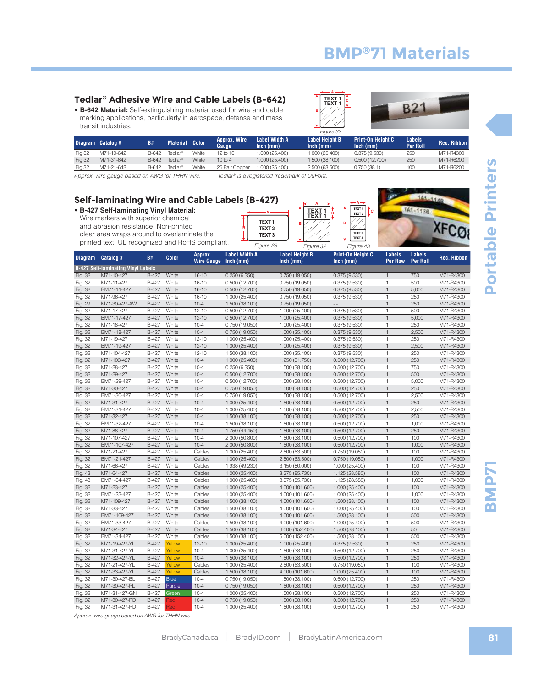#### **Tedlar® Adhesive Wire and Cable Labels (B-642)**

• **B-642 Material:** Self-extinguishing material used for wire and cable marking applications, particularly in aerospace, defense and mass transit industries.



Figure 43

TEXT 3

 $TEXT$ **C**

TEXT<sub>2</sub>

**B**

**C TEXT 1 TEXT 1**

**A**

**B**



TA1-1138

**XFCO** 

|               | Diagram Catalog # | <b>B#</b> | <b>Material Color</b> |       | <b>Approx. Wire</b><br>Gauge | Label Width A<br>$lnch$ (mm) | <b>Label Height B</b><br>$lnch$ (mm) | <b>Print-On Height C</b><br>$lnch$ (mm) | Labels<br>Per Roll | Rec. Ribbon |
|---------------|-------------------|-----------|-----------------------|-------|------------------------------|------------------------------|--------------------------------------|-----------------------------------------|--------------------|-------------|
| <b>Fig 32</b> | M71-19-642        | B-642     | Tedlar®               | White | 12 to 10                     | 1.000 (25.400)               | 1.000 (25.400)                       | 0.375(9.530)                            | 250                | M71-R4300   |
| <b>Fig 32</b> | M71-31-642        | B-642     | Tedlar®               | White | $10$ to $4$                  | 1.000 (25.400)               | 1.500 (38.100)                       | 0.500(12.700)                           | 250                | M71-R6200   |
| <b>Fig 32</b> | M71-21-642        | B-642     | Tedlar®               | White | 25 Pair Copper               | 1.000 (25.400)               | 2.500 (63.500)                       | 0.750(38.1)                             | 100                | M71-R6200   |
|               |                   |           |                       |       |                              |                              |                                      |                                         |                    |             |

Approx. wire gauge based on AWG for THHN wire. Tedlar® is a registered trademark of DuPont.

Figure 29

**B**

**A**

TEXT<sub>1</sub>

TEXT<sub>2</sub>

TEXT<sub>3</sub>

#### **Self-laminating Wire and Cable Labels (B-427)**

• **B-427 Self-laminating Vinyl Material:** Wire markers with superior chemical and abrasion resistance. Non-printed clear area wraps around to overlaminate the

printed text. UL recognized and RoHS compliant. Figure 29 Figure 32

| <b>Diagram</b> | Catalog #                                 | B#           | <b>Color</b> | Approx.<br><b>Wire Gauge</b> | <b>Label Width A</b><br>$lnch$ (mm) | <b>Label Height B</b><br>Inch (mm) | Print-On Height C<br>Inch (mm) | <b>Labels</b><br><b>Per Row</b> | <b>Labels</b><br><b>Per Roll</b> | <b>Rec. Ribbon</b> |
|----------------|-------------------------------------------|--------------|--------------|------------------------------|-------------------------------------|------------------------------------|--------------------------------|---------------------------------|----------------------------------|--------------------|
|                | <b>B-427 Self-laminating Vinyl Labels</b> |              |              |                              |                                     |                                    |                                |                                 |                                  |                    |
| Fig. 32        | M71-10-427                                | B-427        | White        | $16 - 10$                    | 0.250(6.350)                        | 0.750(19.050)                      | 0.375(9.530)                   | $\mathbf{1}$                    | 750                              | M71-R4300          |
| Fig. 32        | M71-11-427                                | <b>B-427</b> | White        | $16 - 10$                    | 0.500(12.700)                       | 0.750 (19.050)                     | 0.375(9.530)                   | $\mathbf{1}$                    | 500                              | M71-R4300          |
| Fig. 32        | BM71-11-427                               | B-427        | White        | $16 - 10$                    | 0.500(12.700)                       | 0.750(19.050)                      | 0.375(9.530)                   | $\mathbf{1}$                    | 5,000                            | M71-R4300          |
| Fig. 32        | M71-96-427                                | <b>B-427</b> | White        | $16 - 10$                    | 1.000 (25.400)                      | 0.750 (19.050)                     | 0.375(9.530)                   | $\mathbf{1}$                    | 250                              | M71-R4300          |
| Fig. 29        | M71-30-427-AW                             | <b>B-427</b> | White        | $10 - 4$                     | 1.500 (38.100)                      | 0.750(19.050)                      |                                | $\mathbf{1}$                    | 250                              | M71-R4300          |
| Fig. 32        | M71-17-427                                | <b>B-427</b> | White        | $12 - 10$                    | 0.500(12.700)                       | 1.000 (25.400)                     | 0.375(9.530)                   | $\mathbf{1}$                    | 500                              | M71-R4300          |
| Fig. 32        | BM71-17-427                               | <b>B-427</b> | White        | $12 - 10$                    | 0.500(12.700)                       | 1.000 (25.400)                     | 0.375(9.530)                   | $\mathbf{1}$                    | 5,000                            | M71-R4300          |
| Fig. 32        | M71-18-427                                | <b>B-427</b> | White        | $10 - 4$                     | 0.750(19.050)                       | 1.000 (25.400)                     | 0.375(9.530)                   | $\mathbf{1}$                    | 250                              | M71-R4300          |
| Fig. 32        | BM71-18-427                               | <b>B-427</b> | White        | $10 - 4$                     | 0.750(19.050)                       | 1.000 (25.400)                     | 0.375(9.530)                   | $\mathbf{1}$                    | 2,500                            | M71-R4300          |
| Fig. 32        | M71-19-427                                | B-427        | White        | $12 - 10$                    | 1.000 (25.400)                      | 1.000 (25.400)                     | 0.375(9.530)                   | $\mathbf{1}$                    | 250                              | M71-R4300          |
| Fig. 32        | BM71-19-427                               | <b>B-427</b> | White        | $12 - 10$                    | 1.000 (25.400)                      | 1.000 (25.400)                     | 0.375(9.530)                   | $\mathbf{1}$                    | 2,500                            | M71-R4300          |
| Fig. 32        | M71-104-427                               | B-427        | White        | $12 - 10$                    | 1.500 (38.100)                      | 1.000 (25.400)                     | 0.375(9.530)                   | $\mathbf{1}$                    | 250                              | M71-R4300          |
| Fig. 32        | M71-103-427                               | <b>B-427</b> | White        | $10 - 4$                     | 1.000 (25.400)                      | 1.250 (31.750)                     | 0.500(12.700)                  | $\mathbf{1}$                    | 250                              | M71-R4300          |
| Fig. 32        | M71-28-427                                | <b>B-427</b> | White        | $10 - 4$                     | 0.250(6.350)                        | 1.500 (38.100)                     | 0.500(12.700)                  | $\mathbf{1}$                    | 750                              | M71-R4300          |
| Fig. 32        | M71-29-427                                | <b>B-427</b> | White        | $10 - 4$                     | 0.500(12.700)                       | 1.500 (38.100)                     | 0.500(12.700)                  | $\mathbf{1}$                    | 500                              | M71-R4300          |
| Fig. 32        | BM71-29-427                               | B-427        | White        | $10 - 4$                     | 0.500(12.700)                       | 1.500 (38.100)                     | 0.500(12.700)                  | $\mathbf{1}$                    | 5,000                            | M71-R4300          |
| Fig. 32        | M71-30-427                                | <b>B-427</b> | White        | $10 - 4$                     | 0.750(19.050)                       | 1.500 (38.100)                     | 0.500(12.700)                  | $\mathbf{1}$                    | 250                              | M71-R4300          |
| Fig. 32        | BM71-30-427                               | <b>B-427</b> | White        | $10 - 4$                     | 0.750(19.050)                       | 1.500 (38.100)                     | 0.500(12.700)                  | $\mathbf{1}$                    | 2,500                            | M71-R4300          |
| Fig. 32        | M71-31-427                                | <b>B-427</b> | White        | $10 - 4$                     | 1.000 (25.400)                      | 1.500 (38.100)                     | 0.500(12.700)                  | $\mathbf{1}$                    | 250                              | M71-R4300          |
| Fig. 32        | BM71-31-427                               | <b>B-427</b> | White        | $10 - 4$                     | 1.000 (25.400)                      | 1.500 (38.100)                     | 0.500(12.700)                  | $\mathbf{1}$                    | 2,500                            | M71-R4300          |
| Fig. 32        | M71-32-427                                | <b>B-427</b> | White        | $10 - 4$                     | 1.500 (38.100)                      | 1.500 (38.100)                     | 0.500(12.700)                  | $\mathbf{1}$                    | 250                              | M71-R4300          |
| Fig. 32        | BM71-32-427                               | <b>B-427</b> | White        | $10 - 4$                     | 1.500 (38.100)                      | 1.500 (38.100)                     | 0.500(12.700)                  | $\mathbf{1}$                    | 1.000                            | M71-R4300          |
| Fig. 32        | M71-88-427                                | <b>B-427</b> | White        | $10 - 4$                     | 1.750 (44.450)                      | 1.500 (38.100)                     | 0.500(12.700)                  | $\mathbf{1}$                    | 250                              | M71-R4300          |
| Fig. 32        | M71-107-427                               | B-427        | White        | $10 - 4$                     | 2.000 (50.800)                      | 1.500 (38.100)                     | 0.500(12.700)                  | $\mathbf{1}$                    | 100                              | M71-R4300          |
| Fig. 32        | BM71-107-427                              | <b>B-427</b> | White        | $10 - 4$                     | 2.000 (50.800)                      | 1.500 (38.100)                     | 0.500(12.700)                  | $\mathbf{1}$                    | 1,000                            | M71-R4300          |
| Fig. 32        | M71-21-427                                | B-427        | White        | Cables                       | 1.000 (25.400)                      | 2.500 (63.500)                     | 0.750(19.050)                  | $\mathbf{1}$                    | 100                              | M71-R4300          |
| Fig. 32        | BM71-21-427                               | B-427        | White        | Cables                       | 1.000 (25.400)                      | 2.500 (63.500)                     | 0.750(19.050)                  | $\mathbf{1}$                    | 1,000                            | M71-R4300          |
| Fig. 32        | M71-66-427                                | B-427        | White        | Cables                       | 1.938 (49.230)                      | 3.150 (80.000)                     | 1.000 (25.400)                 | $\mathbf{1}$                    | 100                              | M71-R4300          |
| Fig. 43        | M71-64-427                                | <b>B-427</b> | White        | Cables                       | 1.000 (25.400)                      | 3.375 (85.730)                     | 1.125 (28.580)                 | $\mathbf{1}$                    | 100                              | M71-R4300          |
| Fig. 43        | BM71-64-427                               | <b>B-427</b> | White        | Cables                       | 1.000 (25.400)                      | 3.375 (85.730)                     | 1.125 (28.580)                 | $\mathbf{1}$                    | 1.000                            | M71-R4300          |
| Fig. 32        | M71-23-427                                | <b>B-427</b> | White        | Cables                       | 1.000 (25.400)                      | 4.000 (101.600)                    | 1.000 (25.400)                 | $\mathbf{1}$                    | 100                              | M71-R4300          |
| Fig. 32        | BM71-23-427                               | <b>B-427</b> | White        | Cables                       | 1.000 (25.400)                      | 4.000 (101.600)                    | 1.000 (25.400)                 | $\mathbf{1}$                    | 1.000                            | M71-R4300          |
| Fig. 32        | M71-109-427                               | <b>B-427</b> | White        | Cables                       | 1.500 (38.100)                      | 4.000 (101.600)                    | 1.500 (38.100)                 | $\mathbf{1}$                    | 100                              | M71-R4300          |
| Fig. 32        | M71-33-427                                | B-427        | White        | Cables                       | 1.500 (38.100)                      | 4.000 (101.600)                    | 1.000 (25.400)                 | $\mathbf{1}$                    | 100                              | M71-R4300          |
| Fig. 32        | BM71-109-427                              | <b>B-427</b> | White        | Cables                       | 1.500 (38.100)                      | 4.000 (101.600)                    | 1.500 (38.100)                 | $\mathbf{1}$                    | 500                              | M71-R4300          |
| Fig. 32        | BM71-33-427                               | B-427        | White        | Cables                       | 1.500 (38.100)                      | 4.000 (101.600)                    | 1.000 (25.400)                 | $\mathbf{1}$                    | 500                              | M71-R4300          |
| Fig. 32        | M71-34-427                                | <b>B-427</b> | White        | Cables                       | 1.500 (38.100)                      | 6.000 (152.400)                    | 1.500 (38.100)                 | $\mathbf{1}$                    | 50                               | M71-R4300          |
| Fig. 32        | BM71-34-427                               | B-427        | White        | Cables                       | 1.500 (38.100)                      | 6.000 (152.400)                    | 1.500 (38.100)                 | $\mathbf{1}$                    | 500                              | M71-R4300          |
| Fig. 32        | M71-19-427-YL                             | <b>B-427</b> | Yellow       | $12 - 10$                    | 1.000 (25.400)                      | 1.000 (25.400)                     | 0.375(9.530)                   | $\mathbf{1}$                    | 250                              | M71-R4300          |
| Fig. 32        | M71-31-427-YL                             | B-427        | Yellow       | $10 - 4$                     | 1.000 (25.400)                      | 1.500 (38.100)                     | 0.500(12.700)                  | $\mathbf{1}$                    | 250                              | M71-R4300          |
| Fig. 32        | M71-32-427-YL                             | <b>B-427</b> | Yellow       | $10 - 4$                     | 1.500 (38.100)                      | 1.500 (38.100)                     | 0.500(12.700)                  | $\mathbf{1}$                    | 250                              | M71-R4300          |
| Fig. 32        | M71-21-427-YL                             | <b>B-427</b> | Yellow       | Cables                       | 1.000 (25.400)                      | 2.500 (63.500)                     | 0.750(19.050)                  | $\mathbf{1}$                    | 100                              | M71-R4300          |
| Fig. 32        | M71-33-427-YL                             | <b>B-427</b> | Yellow       | Cables                       | 1.500 (38.100)                      | 4.000 (101.600)                    | 1.000 (25.400)                 | $\mathbf{1}$                    | 100                              | M71-R4300          |
| Fig. 32        | M71-30-427-BL                             | B-427        | <b>Blue</b>  | $10 - 4$                     | 0.750(19.050)                       | 1.500 (38.100)                     | 0.500(12.700)                  | $\mathbf{1}$                    | 250                              | M71-R4300          |
| Fig. 32        | M71-30-427-PL                             | <b>B-427</b> | Purple       | $10 - 4$                     | 0.750(19.050)                       | 1.500 (38.100)                     | 0.500(12.700)                  | $\mathbf{1}$                    | 250                              | M71-R4300          |
| Fig. 32        | M71-31-427-GN                             | <b>B-427</b> | Green        | $10 - 4$                     | 1.000 (25.400)                      | 1.500 (38.100)                     | 0.500(12.700)                  | $\mathbf{1}$                    | 250                              | M71-R4300          |
| Fig. 32        | M71-30-427-RD                             | <b>B-427</b> | Red          | $10 - 4$                     | 0.750(19.050)                       | 1.500 (38.100)                     | 0.500(12.700)                  | $\mathbf{1}$                    | 250                              | M71-R4300          |
| Fig. 32        | M71-31-427-RD                             | B-427        | Red          | $10 - 4$                     | 1.000 (25.400)                      | 1.500 (38.100)                     | 0.500(12.700)                  | $\mathbf{1}$                    | 250                              | M71-R4300          |

Approx. wire gauge based on AWG for THHN wire.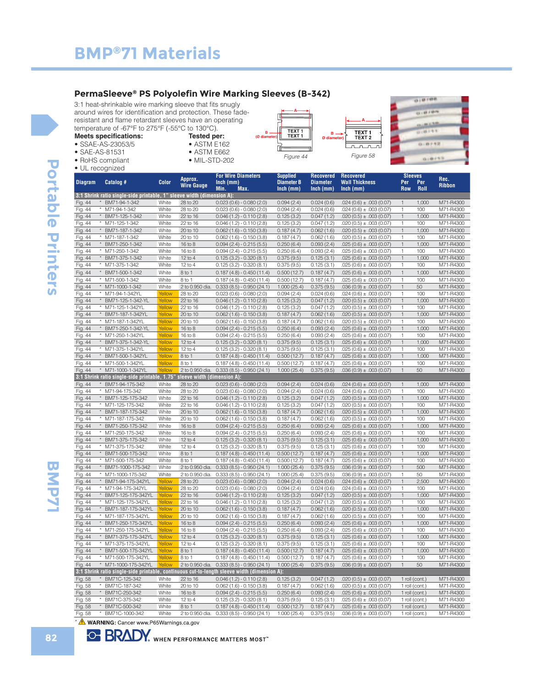• SSAE-AS-23053/5 • SAE-AS-81531 • RoHS compliant

#### **PermaSleeve® PS Polyolefin Wire Marking Sleeves (B-342)**

3:1 heat-shrinkable wire marking sleeve that fits snugly around wires for identification and protection. These faderesistant and flame retardant sleeves have an operating temperature of -67°F to 275°F (-55°C to 130°C). **Meets specifications:** 



| 010100                            |  |
|-----------------------------------|--|
| 43 + 69 + 69 Fe                   |  |
| 13.1.88.2.9.65<br>(2) (2) ( 9, 9) |  |
| 0.0752                            |  |
| 0.0153                            |  |

|                |                                                                           | Color  | Approx.           | <b>For Wire Diameters</b>                                                                    | <b>Supplied</b>                  | <b>Recovered</b>               | Recovered                            | <b>Sleeves</b>    |             | Rec.          |
|----------------|---------------------------------------------------------------------------|--------|-------------------|----------------------------------------------------------------------------------------------|----------------------------------|--------------------------------|--------------------------------------|-------------------|-------------|---------------|
| <b>Diagram</b> | Catalog #                                                                 |        | <b>Wire Gauge</b> | $lnch$ (mm)<br>Min.<br>Max.                                                                  | <b>Diameter B</b><br>$lnch$ (mm) | <b>Diameter</b><br>$lnch$ (mm) | <b>Wall Thickness</b><br>$lnch$ (mm) | Per<br><b>Row</b> | Per<br>Roll | <b>Ribbon</b> |
|                | 3:1 Shrink ratio single-side printable, 1" sleeve width (dimension A):    |        |                   |                                                                                              |                                  |                                |                                      |                   |             |               |
| Fig. 44        | * BM71-94-1-342                                                           | White  | 28 to 20          | $0.023(0.6) - 0.080(2.0)$                                                                    | 0.094(2.4)                       | 0.024(0.6)                     | $.024(0.6) \pm .003(0.07)$           | $\mathbf{1}$      | 1,000       | M71-R4300     |
| Fig. 44        | * M71-94-1-342                                                            | White  | 28 to 20          | $0.023(0.6) - 0.080(2.0)$                                                                    | 0.094(2.4)                       | 0.024(0.6)                     | $.024(0.6) \pm .003(0.07)$           | 1                 | 100         | M71-R4300     |
| Fig. 44        | BM71-125-1-342                                                            | White  | 22 to 16          | $0.046(1.2) - 0.110(2.8)$                                                                    | 0.125(3.2)                       | 0.047(1.2)                     | $.020(0.5) \pm .003(0.07)$           | $\mathbf{1}$      | 1,000       | M71-R4300     |
| Fig. 44        | * M71-125-1-342                                                           | White  | 22 to 16          | $0.046(1.2) - 0.110(2.8)$                                                                    | 0.125(3.2)                       | 0.047(1.2)                     | $.020(0.5) \pm .003(0.07)$           | $\mathbf{1}$      | 100         | M71-R4300     |
| Fig. 44        | * BM71-187-1-342                                                          | White  | 20 to 10          | $0.062(1.6) - 0.150(3.8)$                                                                    | 0.187(4.7)                       | 0.062(1.6)                     | $.020(0.5) \pm .003(0.07)$           | $\mathbf{1}$      | 1,000       | M71-R4300     |
| Fig. 44        | * M71-187-1-342                                                           | White  | 20 to 10          | $0.062(1.6) - 0.150(3.8)$                                                                    | 0.187(4.7)                       | 0.062(1.6)                     | $.020(0.5) \pm .003(0.07)$           | 1                 | 100         | M71-R4300     |
| Fig. 44        | * BM71-250-1-342                                                          | White  | 16 to 8           | $0.094(2.4) - 0.215(5.5)$                                                                    | 0.250(6.4)                       | 0.093(2.4)                     | $.025(0.6) \pm .003(0.07)$           | $\mathbf{1}$      | 1,000       | M71-R4300     |
| Fig. 44        | * M71-250-1-342                                                           | White  | 16 to 8           | $0.094(2.4) - 0.215(5.5)$                                                                    | 0.250(6.4)                       | 0.093(2.4)                     | $.025(0.6) \pm .003(0.07)$           | $\mathbf{1}$      | 100         | M71-R4300     |
| Fig. 44        | * BM71-375-1-342                                                          | White  | $12$ to 4         | $0.125(3.2) - 0.320(8.1)$                                                                    | 0.375(9.5)                       | 0.125(3.1)                     | $.025(0.6) \pm .003(0.07)$           | $\mathbf{1}$      | 1,000       | M71-R4300     |
| Fig. 44        | * M71-375-1-342                                                           | White  | $12$ to 4         | $0.125(3.2) - 0.320(8.1)$                                                                    | 0.375(9.5)                       | 0.125(3.1)                     | $.025(0.6) \pm .003(0.07)$           | $\mathbf{1}$      | 100         | M71-R4300     |
| Fig. 44        | * BM71-500-1-342                                                          | White  | 8 to 1            | $0.187(4.8) - 0.450(11.4)$                                                                   | 0.500(12.7)                      | 0.187(4.7)                     | $.025(0.6) \pm .003(0.07)$           | $\mathbf{1}$      | 1,000       | M71-R4300     |
| Fig. 44        | * M71-500-1-342                                                           | White  | 8 to 1            | $0.187(4.8) - 0.450(11.4)$                                                                   | 0.500(12.7)                      | 0.187(4.7)                     | $.025(0.6) \pm .003(0.07)$           | $\mathbf{1}$      | 100         | M71-R4300     |
| Fig. 44        | * M71-1000-1-342                                                          | White  | 2 to 0.950 dia.   | $0.333(8.5) - 0.950(24.1)$                                                                   | 1.000(25.4)                      | 0.375(9.5)                     | $.036(0.9) \pm .003(0.07)$           | $\mathbf{1}$      | 50          | M71-R4300     |
| Fig. 44        | * M71-94-1-342YL                                                          | Yellow | 28 to 20          | $0.023(0.6) - 0.080(2.0)$                                                                    | 0.094(2.4)                       | 0.024(0.6)                     | $.024(0.6) \pm .003(0.07)$           | $\mathbf{1}$      | 100         | M71-R4300     |
| Fig. 44        | * BM71-125-1-342-YL                                                       | Yellow | 22 to 16          | $0.046(1.2) - 0.110(2.8)$                                                                    | 0.125(3.2)                       | 0.047(1.2)                     | $.020(0.5) \pm .003(0.07)$           | $\mathbf{1}$      | 1,000       | M71-R4300     |
| Fig. 44        | * M71-125-1-342YL                                                         | Yellow | 22 to 16          | $0.046(1.2) - 0.110(2.8)$                                                                    | 0.125(3.2)                       | 0.047(1.2)                     | $.020(0.5) \pm .003(0.07)$           | $\mathbf{1}$      | 100         | M71-R4300     |
| Fig. 44        | * BM71-187-1-342YL                                                        | Yellow | 20 to 10          | $0.062(1.6) - 0.150(3.8)$                                                                    | 0.187(4.7)                       | 0.062(1.6)                     | $.020(0.5) \pm .003(0.07)$           | $\mathbf{1}$      | 1,000       | M71-R4300     |
| Fig. 44        | * M71-187-1-342YL                                                         | Yellow | 20 to 10          | $0.062(1.6) - 0.150(3.8)$                                                                    | 0.187(4.7)                       | 0.062(1.6)                     | $.020(0.5) \pm .003(0.07)$           | $\mathbf{1}$      | 100         | M71-R4300     |
| Fig. 44        | BM71-250-1-342-YL                                                         | Yellow | 16 to 8           | $0.094(2.4) - 0.215(5.5)$                                                                    | 0.250(6.4)                       | 0.093(2.4)                     | $.025(0.6) \pm .003(0.07)$           | $\mathbf{1}$      | 1,000       | M71-R4300     |
| Fig. 44        | M71-250-1-342YL                                                           | Yellow | 16 to 8           | $0.094(2.4) - 0.215(5.5)$                                                                    | 0.250(6.4)                       | 0.093(2.4)                     | $.025(0.6) \pm .003(0.07)$           | $\mathbf{1}$      | 100         | M71-R4300     |
| Fig. 44        | * BM71-375-1-342-YL                                                       | Yellow | 12 to 4           | $0.125(3.2) - 0.320(8.1)$                                                                    | 0.375(9.5)                       | 0.125(3.1)                     | $.025(0.6) \pm .003(0.07)$           | $\mathbf{1}$      | 1,000       | M71-R4300     |
| Fig. 44        | * M71-375-1-342YL                                                         | Yellow | 12 to 4           | $0.125(3.2) - 0.320(8.1)$                                                                    | 0.375(9.5)                       | 0.125(3.1)                     | $.025(0.6) \pm .003(0.07)$           | $\mathbf{1}$      | 100         | M71-R4300     |
| Fig. 44        | * BM71-500-1-342YL                                                        | Yellow | 8 to 1            | $0.187(4.8) - 0.450(11.4)$                                                                   | 0.500(12.7)                      | 0.187(4.7)                     | $.025(0.6) \pm .003(0.07)$           | $\mathbf{1}$      | 1,000       | M71-R4300     |
| Fig. 44        | * M71-500-1-342YL                                                         | Yellow | 8 to 1            | $0.187(4.8) - 0.450(11.4)$                                                                   | 0.500(12.7)                      | 0.187(4.7)                     | $.025(0.6) \pm .003(0.07)$           | $\mathbf{1}$      | 100         | M71-R4300     |
| Fig. 44        | * M71-1000-1-342YL                                                        | Yellow | 2 to 0.950 dia.   | $0.333(8.5) - 0.950(24.1)$                                                                   | 1.000(25.4)                      | 0.375(9.5)                     | $.036(0.9) \pm .003(0.07)$           | $\mathbf{1}$      | 50          | M71-R4300     |
|                | 3:1 Shrink ratio single-side printable, 1.75" sleeve width (dimension A): |        |                   |                                                                                              |                                  |                                |                                      |                   |             |               |
| Fig. 44        | * BM71-94-175-342                                                         | White  | 28 to 20          | $0.023(0.6) - 0.080(2.0)$                                                                    | 0.094(2.4)                       | 0.024(0.6)                     | $.024(0.6) \pm .003(0.07)$           | $\mathbf{1}$      | 1,000       | M71-R4300     |
| Fig. 44        | * M71-94-175-342                                                          | White  | 28 to 20          | $0.023(0.6) - 0.080(2.0)$                                                                    | 0.094(2.4)                       | 0.024(0.6)                     | $.024(0.6) \pm .003(0.07)$           | 1                 | 100         | M71-R4300     |
| Fig. 44        | BM71-125-175-342<br>$^\star$                                              | White  | 22 to 16          | $0.046(1.2) - 0.110(2.8)$                                                                    | 0.125(3.2)                       | 0.047(1.2)                     | $.020(0.5) \pm .003(0.07)$           | $\mathbf{1}$      | 1,000       | M71-R4300     |
| Fig. 44        | * M71-125-175-342                                                         | White  | 22 to 16          | $0.046(1.2) - 0.110(2.8)$                                                                    | 0.125(3.2)                       | 0.047(1.2)                     | $.020(0.5) \pm .003(0.07)$           | 1                 | 100         | M71-R4300     |
| Fig. 44        | * BM71-187-175-342                                                        | White  | 20 to 10          | $0.062(1.6) - 0.150(3.8)$                                                                    | 0.187(4.7)                       | 0.062(1.6)                     | $.020(0.5) \pm .003(0.07)$           | $\mathbf{1}$      | 1,000       | M71-R4300     |
| Fig. 44        | * M71-187-175-342                                                         | White  | 20 to 10          | $0.062(1.6) - 0.150(3.8)$                                                                    | 0.187(4.7)                       | 0.062(1.6)                     | $.020(0.5) \pm .003(0.07)$           | $\mathbf{1}$      | 100         | M71-R4300     |
| Fig. 44        | * BM71-250-175-342                                                        | White  | 16 to 8           | $0.094(2.4) - 0.215(5.5)$                                                                    | 0.250(6.4)                       | 0.093(2.4)                     | $.025(0.6) \pm .003(0.07)$           | $\mathbf{1}$      | 1,000       | M71-R4300     |
| Fig. 44        | * M71-250-175-342                                                         | White  | 16 to 8           | $0.094(2.4) - 0.215(5.5)$                                                                    | 0.250(6.4)                       | 0.093(2.4)                     | $.025(0.6) \pm .003(0.07)$           | $\mathbf{1}$      | 100         | M71-R4300     |
| Fig. 44        | * BM71-375-175-342                                                        | White  | $12$ to $4$       | $0.125(3.2) - 0.320(8.1)$                                                                    | 0.375(9.5)                       | 0.125(3.1)                     | $.025(0.6) \pm .003(0.07)$           | $\mathbf{1}$      | 1,000       | M71-R4300     |
| Fig. 44        | * M71-375-175-342                                                         | White  | 12 to 4           | $0.125(3.2) - 0.320(8.1)$                                                                    | 0.375(9.5)                       | 0.125(3.1)                     | $.025(0.6) \pm .003(0.07)$           | $\mathbf{1}$      | 100         | M71-R4300     |
| Fig. 44        | * BM71-500-175-342                                                        | White  | 8 to 1            | $0.187(4.8) - 0.450(11.4)$                                                                   | 0.500(12.7)                      | 0.187(4.7)                     | $.025(0.6) \pm .003(0.07)$           | $\mathbf{1}$      | 1,000       | M71-R4300     |
| Fig. 44        | $^\star$<br>M71-500-175-342                                               | White  | 8 to 1            | $0.187(4.8) - 0.450(11.4)$                                                                   | 0.500(12.7)                      | 0.187(4.7)                     | $.025(0.6) \pm .003(0.07)$           | $\mathbf{1}$      | 100         | M71-R4300     |
| Fig. 44        | BM71-1000-175-342<br>$^\star$                                             | White  | 2 to 0.950 dia.   | $0.333(8.5) - 0.950(24.1)$                                                                   | 1.000(25.4)                      | 0.375(9.5)                     | $.036(0.9) \pm .003(0.07)$           | $\mathbf{1}$      | 500         | M71-R4300     |
| Fig. 44        | M71-1000-175-342                                                          | White  | 2 to 0.950 dia.   | $0.333(8.5) - 0.950(24.1)$                                                                   | 1.000(25.4)                      | 0.375(9.5)                     | $.036(0.9) \pm .003(0.07)$           | 1                 | 50          | M71-R4300     |
| Fig. 44        | * BM71-94-175-342YL                                                       | Yellow | 28 to 20          | $0.023(0.6) - 0.080(2.0)$                                                                    | 0.094(2.4)                       | 0.024(0.6)                     | $.024(0.6) \pm .003(0.07)$           | $\mathbf{1}$      | 2,500       | M71-R4300     |
| Fig. 44        | * M71-94-175-342YL                                                        | Yellow | 28 to 20          | $0.023(0.6) - 0.080(2.0)$                                                                    | 0.094(2.4)                       | 0.024(0.6)                     | $.024(0.6) \pm .003(0.07)$           | $\mathbf{1}$      | 100         | M71-R4300     |
| Fig. 44        | * BM71-125-175-342YL                                                      | Yellow | 22 to 16          | $0.046(1.2) - 0.110(2.8)$                                                                    | 0.125(3.2)                       | 0.047(1.2)                     | $.020(0.5) \pm .003(0.07)$           | $\mathbf{1}$      | 1,000       | M71-R4300     |
| Fig. 44        | * M71-125-175-342YL                                                       | Yellow | 22 to 16          | $0.046(1.2) - 0.110(2.8)$                                                                    | 0.125(3.2)                       | 0.047(1.2)                     | $.020(0.5) \pm .003(0.07)$           | $\mathbf{1}$      | 100         | M71-R4300     |
| Fig. 44        | * BM71-187-175-342YL                                                      | Yellow | 20 to 10          | $0.062(1.6) - 0.150(3.8)$                                                                    | 0.187(4.7)                       | 0.062(1.6)                     | $.020(0.5) \pm .003(0.07)$           | $\mathbf{1}$      | 1,000       | M71-R4300     |
| Fig. 44        | * M71-187-175-342YL                                                       | Yellow | 20 to 10          | $0.062(1.6) - 0.150(3.8)$                                                                    | 0.187(4.7)                       | 0.062(1.6)                     | $.020(0.5) \pm .003(0.07)$           | $\mathbf{1}$      | 100         | M71-R4300     |
| Fig. 44        | * BM71-250-175-342YL Yellow 16 to 8                                       |        |                   | $0.094(2.4) - 0.215(5.5)$                                                                    | 0.250(6.4)                       | 0.093(2.4)                     | $.025(0.6) \pm .003(0.07)$           | $\overline{1}$    | 1,000       | M71-R4300     |
| Fig. 44        | * M71-250-175-342YL                                                       | Yellow | 16 to 8           | $0.094(2.4) - 0.215(5.5)$                                                                    | 0.250(6.4)                       | 0.093(2.4)                     | $.025(0.6) \pm .003(0.07)$           | 1                 | 100         | M71-R4300     |
| Fig. 44        | * BM71-375-175-342YL                                                      | Yellow | 12 to 4           | $0.125(3.2) - 0.320(8.1)$                                                                    | 0.375(9.5)                       | 0.125(3.1)                     | $.025(0.6) \pm .003(0.07)$           | $\mathbf{1}$      | 1,000       | M71-R4300     |
| Fig. 44        | * M71-375-175-342YL                                                       | Yellow | $12$ to 4         | $0.125(3.2) - 0.320(8.1)$                                                                    | 0.375(9.5)                       | 0.125(3.1)                     | $.025(0.6) \pm .003(0.07)$           | 1                 | 100         | M71-R4300     |
| Fig. 44        | * BM71-500-175-342YL                                                      | Yellow | 8 to 1            | $0.187(4.8) - 0.450(11.4)$                                                                   | 0.500(12.7)                      | 0.187(4.7)                     | $.025(0.6) \pm .003(0.07)$           | $\mathbf{1}$      | 1,000       | M71-R4300     |
| Fig. 44        | * M71-500-175-342YL                                                       | Yellow | 8 to 1            | $0.187(4.8) - 0.450(11.4)$                                                                   | 0.500(12.7)                      | 0.187(4.7)                     | $.025(0.6) \pm .003(0.07)$           | $\mathbf{1}$      | 100         | M71-R4300     |
| Fig. 44        | * M71-1000-175-342YL                                                      | Yellow | 2 to 0.950 dia.   | $0.333(8.5) - 0.950(24.1)$                                                                   | 1.000(25.4)                      | 0.375(9.5)                     | $.036(0.9) \pm .003(0.07)$           | $\mathbf{1}$      | 50          | M71-R4300     |
|                |                                                                           |        |                   | 3:1 Shrink ratio single-side printable, continuous cut-to-length sleeve width (dimension A): |                                  |                                |                                      |                   |             |               |
| Fig. 58        | * BM71C-125-342                                                           | White  | 22 to 16          | $0.046(1.2) - 0.110(2.8)$                                                                    | 0.125(3.2)                       | 0.047(1.2)                     | $.020(0.5) \pm .003(0.07)$           | 1 roll (cont.)    |             | M71-R4300     |
| Fig. 58        | * BM71C-187-342                                                           | White  | 20 to 10          | $0.062(1.6) - 0.150(3.8)$                                                                    | 0.187(4.7)                       | 0.062(1.6)                     | $.020(0.5) \pm .003(0.07)$           | 1 roll (cont.)    |             | M71-R4300     |
| Fig. 58        | * BM71C-250-342                                                           | White  | $16$ to $8$       | $0.094$ (2.4) - 0.215 (5.5)                                                                  | 0.250(6.4)                       | 0.093(2.4)                     | $.025(0.6) \pm .003(0.07)$           | 1 roll (cont.)    |             | M71-R4300     |
| Fig. 58        | * BM71C-375-342                                                           | White  | 12 to 4           | $0.125(3.2) - 0.320(8.1)$                                                                    | 0.375(9.5)                       | 0.125(3.1)                     | $.025(0.6) \pm .003(0.07)$           | 1 roll (cont.)    |             | M71-R4300     |

Fig. 58 \* BM71C-1000-342 White 2 to 0.950 dia. 0.333 (8.5) - 0.950 (24.1) 1.000 (25.4) 0.375 (9.5) .036 (0.9) ± .003 (0.07) 1 roll (cont.) M71-R4300

\*

**82**

**BMP71 BMP71** 

**BMP71**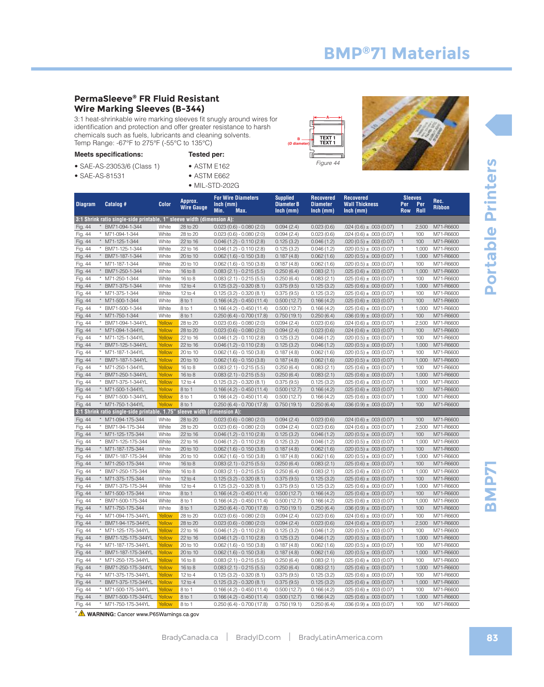#### **PermaSleeve® FR Fluid Resistant Wire Marking Sleeves (B-344)**

3:1 heat-shrinkable wire marking sleeves fit snugly around wires for identification and protection and offer greater resistance to harsh chemicals such as fuels, lubricants and cleaning solvents. Temp Range: -67°F to 275°F (-55°C to 135°C)

|  | <b>Meets specifications:</b> |
|--|------------------------------|
|--|------------------------------|

• SAE-AS-81531

- SAE-AS-23053/6 (Class 1)
- **Tested per:** • ASTM E162 • ASTM E662
	- MIL-STD-202G





| <b>Diagram</b> | Catalog #                                                              | <b>Color</b> | Approx.<br><b>Wire Gauge</b> | <b>For Wire Diameters</b><br>Inch (mm)<br>Min.<br>Max. | <b>Supplied</b><br><b>Diameter B</b><br>$lnch$ (mm) | <b>Recovered</b><br><b>Diameter</b><br>$lnch$ (mm) | <b>Recovered</b><br><b>Wall Thickness</b><br>Inch (mm) | Per<br><b>Row</b> | <b>Sleeves</b><br>Per<br><b>Roll</b> | Rec.<br><b>Ribbon</b> |
|----------------|------------------------------------------------------------------------|--------------|------------------------------|--------------------------------------------------------|-----------------------------------------------------|----------------------------------------------------|--------------------------------------------------------|-------------------|--------------------------------------|-----------------------|
|                | 3:1 Shrink ratio single-side printable, 1" sleeve width (dimension A): |              |                              |                                                        |                                                     |                                                    |                                                        |                   |                                      |                       |
| Fig. 44        | BM71-094-1-344                                                         | White        | 28 to 20                     | $0.023(0.6) - 0.080(2.0)$                              | 0.094(2.4)                                          | 0.023(0.6)                                         | $.024(0.6) \pm .003(0.07)$                             | $\mathbf{1}$      | 2,500                                | M71-R6600             |
| Fig. 44        | M71-094-1-344<br>$^{\star}$                                            | White        | 28 to 20                     | $0.023(0.6) - 0.080(2.0)$                              | 0.094(2.4)                                          | 0.023(0.6)                                         | $.024(0.6) \pm .003(0.07)$                             | $\mathbf{1}$      | 100                                  | M71-R6600             |
| Fig. 44        | * M71-125-1-344                                                        | White        | 22 to 16                     | $0.046(1.2) - 0.110(2.8)$                              | 0.125(3.2)                                          | 0.046(1.2)                                         | $.020(0.5) \pm .003(0.07)$                             | $\mathbf{1}$      | 100                                  | M71-R6600             |
| Fig. 44        | * BM71-125-1-344                                                       | White        | 22 to 16                     | $0.046(1.2) - 0.110(2.8)$                              | 0.125(3.2)                                          | 0.046(1.2)                                         | $.020(0.5) \pm .003(0.07)$                             | $\mathbf{1}$      | 1,000                                | M71-R6600             |
| Fig. 44        | * BM71-187-1-344                                                       | White        | 20 to 10                     | $0.062(1.6) - 0.150(3.8)$                              | 0.187(4.8)                                          | 0.062(1.6)                                         | $.020(0.5) \pm .003(0.07)$                             | $\mathbf{1}$      | 1,000                                | M71-R6600             |
| Fig. 44        | * M71-187-1-344                                                        | White        | 20 to 10                     | $0.062(1.6) - 0.150(3.8)$                              | 0.187(4.8)                                          | 0.062(1.6)                                         | $.020(0.5) \pm .003(0.07)$                             | $\mathbf{1}$      | 100                                  | M71-R6600             |
| Fig. 44        | * BM71-250-1-344                                                       | White        | 16 to 8                      | $0.083(2.1) - 0.215(5.5)$                              | 0.250(6.4)                                          | 0.083(2.1)                                         | $.025(0.6) \pm .003(0.07)$                             | $\mathbf{1}$      | 1,000                                | M71-R6600             |
| Fig. 44        | * M71-250-1-344                                                        | White        | 16 to 8                      | $0.083(2.1) - 0.215(5.5)$                              | 0.250(6.4)                                          | 0.083(2.1)                                         | $.025(0.6) \pm .003(0.07)$                             | $\mathbf{1}$      | 100                                  | M71-R6600             |
| Fig. 44        | * BM71-375-1-344                                                       | White        | $12$ to $4$                  | $0.125(3.2) - 0.320(8.1)$                              | 0.375(9.5)                                          | 0.125(3.2)                                         | $.025(0.6) \pm .003(0.07)$                             | $\mathbf{1}$      | 1,000                                | M71-R6600             |
| Fig. 44        | * M71-375-1-344                                                        | White        | $12$ to 4                    | $0.125(3.2) - 0.320(8.1)$                              | 0.375(9.5)                                          | 0.125(3.2)                                         | $.025(0.6) \pm .003(0.07)$                             | 1                 | 100                                  | M71-R6600             |
| Fig. 44        | * M71-500-1-344                                                        | White        | 8 to 1                       | $0.166(4.2) - 0.450(11.4)$                             | 0.500(12.7)                                         | 0.166(4.2)                                         | $.025(0.6) \pm .003(0.07)$                             | $\mathbf{1}$      | 100                                  | M71-R6600             |
| Fig. 44        | BM71-500-1-344<br>$^{\star}$                                           | White        | 8 to 1                       | $0.166(4.2) - 0.450(11.4)$                             | 0.500(12.7)                                         | 0.166(4.2)                                         | $.025(0.6) \pm .003(0.07)$                             | $\mathbf{1}$      | 1,000                                | M71-R6600             |
| Fig. 44        | * M71-750-1-344                                                        | White        | 8 to 1                       | $0.250(6.4) - 0.700(17.8)$                             | 0.750(19.1)                                         | 0.250(6.4)                                         | $.036(0.9) \pm .003(0.07)$                             | $\mathbf{1}$      | 100                                  | M71-R6600             |
| Fig. 44        | * BM71-094-1-344YL                                                     | Yellow       | 28 to 20                     | $0.023(0.6) - 0.080(2.0)$                              | 0.094(2.4)                                          | 0.023(0.6)                                         | $.024(0.6) \pm .003(0.07)$                             | $\mathbf{1}$      | 2,500                                | M71-R6600             |
| Fig. 44        | * M71-094-1-344YL                                                      | Yellow       | 28 to 20                     | $0.023(0.6) - 0.080(2.0)$                              | 0.094(2.4)                                          | 0.023(0.6)                                         | $.024(0.6) \pm .003(0.07)$                             | $\mathbf{1}$      | 100                                  | M71-R6600             |
| Fig. 44        | * M71-125-1-344YL                                                      | Yellow       | 22 to 16                     | $0.046(1.2) - 0.110(2.8)$                              | 0.125(3.2)                                          | 0.046(1.2)                                         | $.020(0.5) \pm .003(0.07)$                             | 1                 | 100                                  | M71-R6600             |
| Fig. 44        | $^\star$<br>BM71-125-1-344YL                                           | Yellow       | 22 to 16                     | $0.046(1.2) - 0.110(2.8)$                              | 0.125(3.2)                                          | 0.046(1.2)                                         | $.020(0.5) \pm .003(0.07)$                             | $\mathbf{1}$      | 1,000                                | M71-R6600             |
| Fig. 44        | * M71-187-1-344YL                                                      | Yellow       | 20 to 10                     | $0.062(1.6) - 0.150(3.8)$                              | 0.187(4.8)                                          | 0.062(1.6)                                         | $.020(0.5) \pm .003(0.07)$                             | $\mathbf{1}$      | 100                                  | M71-R6600             |
| Fig. 44        | BM71-187-1-344YL<br>$\star$                                            | Yellow       | 20 to 10                     | $0.062(1.6) - 0.150(3.8)$                              | 0.187(4.8)                                          | 0.062(1.6)                                         | $.020(0.5) \pm .003(0.07)$                             | $\mathbf{1}$      | 1,000                                | M71-R6600             |
| Fig. 44        | * M71-250-1-344YL                                                      | Yellow       | 16 to 8                      | $0.083(2.1) - 0.215(5.5)$                              | 0.250(6.4)                                          | 0.083(2.1)                                         | $.025(0.6) \pm .003(0.07)$                             | $\mathbf{1}$      | 100                                  | M71-R6600             |
| Fig. 44        | * BM71-250-1-344YL                                                     | Yellow       | $16$ to $8$                  | $0.083(2.1) - 0.215(5.5)$                              | 0.250(6.4)                                          | 0.083(2.1)                                         | $.025(0.6) \pm .003(0.07)$                             | $\mathbf{1}$      | 1,000                                | M71-R6600             |
| Fig. 44        | * BM71-375-1-344YL                                                     | Yellow       | $12$ to 4                    | $0.125(3.2) - 0.320(8.1)$                              | 0.375(9.5)                                          | 0.125(3.2)                                         | $.025(0.6) \pm .003(0.07)$                             | $\mathbf{1}$      | 1,000                                | M71-R6600             |
| Fig. 44        | * M71-500-1-344YL                                                      | Yellow       | 8 to 1                       | $0.166(4.2) - 0.450(11.4)$                             | 0.500(12.7)                                         | 0.166(4.2)                                         | $.025(0.6) \pm .003(0.07)$                             | $\mathbf{1}$      | 100                                  | M71-R6600             |
| Fig. 44        | BM71-500-1-344YL<br>$\star$                                            | Yellow       | 8 to 1                       | $0.166(4.2) - 0.450(11.4)$                             | 0.500(12.7)                                         | 0.166(4.2)                                         | $.025(0.6) \pm .003(0.07)$                             | $\mathbf{1}$      | 1,000                                | M71-R6600             |
| Fig. 44        | * M71-750-1-344YL                                                      | Yellow       | 8 to 1                       | $0.250(6.4) - 0.700(17.8)$                             | 0.750(19.1)                                         | 0.250(6.4)                                         | $.036(0.9) \pm .003(0.07)$                             | $\overline{1}$    | 100                                  | M71-R6600             |
|                | 3:1 Shrink ratio single-side printable, 1.75"                          |              | sleeve width (dimension A):  |                                                        |                                                     |                                                    |                                                        |                   |                                      |                       |
| Fig. 44        | * M71-094-175-344                                                      | White        | 28 to 20                     | $0.023(0.6) - 0.080(2.0)$                              | 0.094(2.4)                                          | 0.023(0.6)                                         | $.024(0.6) \pm .003(0.07)$                             | $\overline{1}$    | 100                                  | M71-R6600             |
| Fig. 44        | BM71-94-175-344<br>$^{\star}$                                          | White        | 28 to 20                     | $0.023(0.6) - 0.080(2.0)$                              | 0.094(2.4)                                          | 0.023(0.6)                                         | $.024(0.6) \pm .003(0.07)$                             | $\mathbf{1}$      | 2,500                                | M71-R6600             |
| Fig. 44        | * M71-125-175-344                                                      | White        | 22 to 16                     | $0.046(1.2) - 0.110(2.8)$                              | 0.125(3.2)                                          | 0.046(1.2)                                         | $.020(0.5) \pm .003(0.07)$                             | $\mathbf{1}$      | 100                                  | M71-R6600             |
| Fig. 44        | BM71-125-175-344<br>$^{\star}$                                         | White        | 22 to 16                     | $0.046(1.2) - 0.110(2.8)$                              | 0.125(3.2)                                          | 0.046(1.2)                                         | $.020(0.5) \pm .003(0.07)$                             | $\mathbf{1}$      | 1,000                                | M71-R6600             |
| Fig. 44        | * M71-187-175-344                                                      | White        | 20 to 10                     | $0.062(1.6) - 0.150(3.8)$                              | 0.187(4.8)                                          | 0.062(1.6)                                         | $.020(0.5) \pm .003(0.07)$                             | $\mathbf{1}$      | 100                                  | M71-R6600             |
| Fig. 44        | * BM71-187-175-344                                                     | White        | 20 to 10                     | $0.062(1.6) - 0.150(3.8)$                              | 0.187(4.8)                                          | 0.062(1.6)                                         | $.020(0.5) \pm .003(0.07)$                             | $\mathbf{1}$      | 1,000                                | M71-R6600             |
| Fig. 44        | * M71-250-175-344                                                      | White        | 16 to 8                      | $0.083(2.1) - 0.215(5.5)$                              | 0.250(6.4)                                          | 0.083(2.1)                                         | $.025(0.6) \pm .003(0.07)$                             | $\mathbf{1}$      | 100                                  | M71-R6600             |
| Fig. 44        | * BM71-250-175-344                                                     | White        | 16 to 8                      | $0.083(2.1) - 0.215(5.5)$                              | 0.250(6.4)                                          | 0.083(2.1)                                         | $.025(0.6) \pm .003(0.07)$                             | $\mathbf{1}$      | 1,000                                | M71-R6600             |
| Fig. 44        | * M71-375-175-344                                                      | White        | $12$ to $4$                  | $0.125(3.2) - 0.320(8.1)$                              | 0.375(9.5)                                          | 0.125(3.2)                                         | $.025(0.6) \pm .003(0.07)$                             | $\overline{1}$    | 100                                  | M71-R6600             |
| Fig. 44        | * BM71-375-175-344                                                     | White        | $12$ to 4                    | $0.125(3.2) - 0.320(8.1)$                              | 0.375(9.5)                                          | 0.125(3.2)                                         | $.025(0.6) \pm .003(0.07)$                             | 1                 | 1,000                                | M71-R6600             |
| Fig. 44        | * M71-500-175-344                                                      | White        | 8 to 1                       | $0.166(4.2) - 0.450(11.4)$                             | 0.500(12.7)                                         | 0.166(4.2)                                         | $.025(0.6) \pm .003(0.07)$                             | $\mathbf{1}$      | 100                                  | M71-R6600             |
| Fig. 44        | BM71-500-175-344                                                       | White        | 8 to 1                       | $0.166(4.2) - 0.450(11.4)$                             | 0.500(12.7)                                         | 0.166(4.2)                                         | $.025(0.6) \pm .003(0.07)$                             | $\mathbf{1}$      | 1,000                                | M71-R6600             |
| Fig. 44        | $^\star$<br>M71-750-175-344                                            | White        | 8 to 1                       | $0.250(6.4) - 0.700(17.8)$                             | 0.750(19.1)                                         | 0.250(6.4)                                         | $.036(0.9) \pm .003(0.07)$                             | $\mathbf{1}$      | 100                                  | M71-R6600             |
| Fig. 44        | * M71-094-175-344YL                                                    | Yellow       | 28 to 20                     | $0.023(0.6) - 0.080(2.0)$                              | 0.094(2.4)                                          | 0.023(0.6)                                         | $.024(0.6) \pm .003(0.07)$                             | $\mathbf{1}$      | 100                                  | M71-R6600             |
| Fig. 44        | BM71-94-175-344YL<br>$^\star$                                          | Yellow       | 28 to 20                     | $0.023(0.6) - 0.080(2.0)$                              | 0.094(2.4)                                          | 0.023(0.6)                                         | $.024(0.6) \pm .003(0.07)$                             | $\overline{1}$    | 2,500                                | M71-R6600             |
| Fig. 44        | * M71-125-175-344YL                                                    | Yellow       | 22 to 16                     | $0.046(1.2) - 0.110(2.8)$                              | 0.125(3.2)                                          | 0.046(1.2)                                         | $.020(0.5) \pm .003(0.07)$                             | $\mathbf{1}$      | 100                                  | M71-R6600             |
| Fig. 44        | * BM71-125-175-344YL                                                   | Yellow       | 22 to 16                     | $0.046(1.2) - 0.110(2.8)$                              | 0.125(3.2)                                          | 0.046(1.2)                                         | $.020(0.5) \pm .003(0.07)$                             | $\mathbf{1}$      | 1,000                                | M71-R6600             |
| Fig. 44        | * M71-187-175-344YL                                                    | Yellow       | 20 to 10                     | $0.062(1.6) - 0.150(3.8)$                              | 0.187(4.8)                                          | 0.062(1.6)                                         | $.020(0.5) \pm .003(0.07)$                             | $\overline{1}$    | 100                                  | M71-R6600             |
| Fig. 44        | * BM71-187-175-344YL Yellow                                            |              | 20 to 10                     | $0.062(1.6) - 0.150(3.8)$                              | 0.187(4.8)                                          | 0.062(1.6)                                         | $.020(0.5) \pm .003(0.07)$                             | $\overline{1}$    |                                      | 1,000 M71-R6600       |
| Fig. 44        | * M71-250-175-344YL                                                    | Yellow       | 16 to 8                      | $0.083(2.1) - 0.215(5.5)$                              | 0.250(6.4)                                          | 0.083(2.1)                                         | $.025(0.6) \pm .003(0.07)$                             | $\mathbf{1}$      | 100                                  | M71-R6600             |
| Fig. 44        | * BM71-250-175-344YL                                                   | Yellow       | $16$ to $8$                  | $0.083(2.1) - 0.215(5.5)$                              | 0.250(6.4)                                          | 0.083(2.1)                                         | $.025(0.6) \pm .003(0.07)$                             | 1                 | 1,000                                | M71-R6600             |
| Fig. 44        | * M71-375-175-344YL                                                    | Yellow       | 12 to 4                      | $0.125(3.2) - 0.320(8.1)$                              | 0.375(9.5)                                          | 0.125(3.2)                                         | $.025(0.6) \pm .003(0.07)$                             | $\mathbf{1}$      | 100                                  | M71-R6600             |
| Fig. 44        | * BM71-375-175-344YL                                                   | Yellow       | 12 to 4                      | $0.125(3.2) - 0.320(8.1)$                              | 0.375(9.5)                                          | 0.125(3.2)                                         | $.025(0.6) \pm .003(0.07)$                             | $\mathbf{1}$      | 1,000                                | M71-R6600             |
| Fig. 44        | * M71-500-175-344YL                                                    | Yellow       | 8 to 1                       | $0.166(4.2) - 0.450(11.4)$                             | 0.500(12.7)                                         | 0.166(4.2)                                         | $.025(0.6) \pm .003(0.07)$                             | $\mathbf{1}$      | 100                                  | M71-R6600             |
| Fig. 44        | * BM71-500-175-344YL Yellow                                            |              | 8 to 1                       | $0.166(4.2) - 0.450(11.4)$                             | 0.500(12.7)                                         | 0.166(4.2)                                         | $.025(0.6) \pm .003(0.07)$                             | $\overline{1}$    | 1,000                                | M71-R6600             |
| Fig. 44        | * M71-750-175-344YL Yellow                                             |              | $8$ to 1                     | $0.250(6.4) - 0.700(17.8)$                             | 0.750(19.1)                                         | 0.250(6.4)                                         | $.036(0.9) \pm .003(0.07)$                             | $\overline{1}$    | 100                                  | M71-R6600             |

**A WARNING:** Cancer www.P65Warnings.ca.gov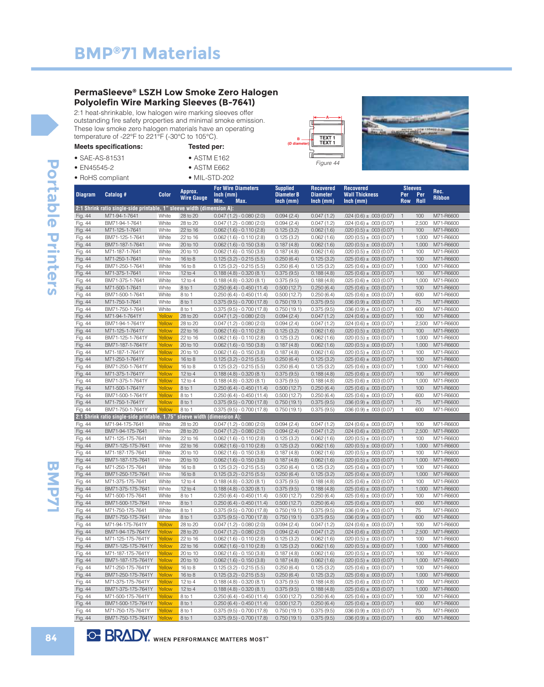#### **PermaSleeve® LSZH Low Smoke Zero Halogen Polyolefin Wire Marking Sleeves (B-7641)**

2:1 heat-shrinkable, low halogen wire marking sleeves offer outstanding fire safety properties and minimal smoke emission. These low smoke zero halogen materials have an operating temperature of -22°F to 221°F (-30°C to 105°C).

| <b>Meets specifications:</b> | Tested per:           |
|------------------------------|-----------------------|
| $\bullet$ SAE-AS-81531       | $\bullet$ ASTM E162   |
| $\bullet$ EN45545-2          | $\bullet$ ASTM E662   |
| • RoHS compliant             | $\bullet$ MIL-STD-202 |





| <b>Diagram</b>     | Catalog #                                                                 | <b>Color</b>     | Approx.<br><b>Wire Gauge</b> | <b>For Wire Diameters</b><br>$lnch$ (mm)<br>Min.<br>Max. | <b>Supplied</b><br><b>Diameter B</b><br>$lnch$ (mm) | <b>Recovered</b><br><b>Diameter</b><br>$lnch$ (mm) | <b>Recovered</b><br><b>Wall Thickness</b><br>$lnch$ (mm) | <b>Sleeves</b><br>Per<br><b>Row</b> | Per<br>Roll  | Rec.<br><b>Ribbon</b>  |
|--------------------|---------------------------------------------------------------------------|------------------|------------------------------|----------------------------------------------------------|-----------------------------------------------------|----------------------------------------------------|----------------------------------------------------------|-------------------------------------|--------------|------------------------|
|                    | 2:1 Shrink ratio single-side printable, 1" sleeve width (dimension A):    |                  |                              |                                                          |                                                     |                                                    |                                                          |                                     |              |                        |
| Fig. 44            | M71-94-1-7641                                                             | White            | 28 to 20                     | $0.047(1.2) - 0.080(2.0)$                                | 0.094(2.4)                                          | 0.047(1.2)                                         | $.024(0.6) \pm .003(0.07)$                               | $\mathbf{1}$                        | 100          | M71-R6600              |
| Fig. 44            | BM71-94-1-7641                                                            | White            | 28 to 20                     | $0.047(1.2) - 0.080(2.0)$                                | 0.094(2.4)                                          | 0.047(1.2)                                         | $.024(0.6) \pm .003(0.07)$                               | $\mathbf{1}$                        | 2,500        | M71-R6600              |
| Fig. 44            | M71-125-1-7641                                                            | White            | 22 to 16                     | $0.062(1.6) - 0.110(2.8)$                                | 0.125(3.2)                                          | 0.062(1.6)                                         | $.020(0.5) \pm .003(0.07)$                               | $\mathbf{1}$                        | 100          | M71-R6600              |
| Fig. 44            | BM71-125-1-7641                                                           | White            | 22 to 16                     | $0.062(1.6) - 0.110(2.8)$                                | 0.125(3.2)                                          | 0.062(1.6)                                         | $.020(0.5) \pm .003(0.07)$                               | $\mathbf{1}$                        | 1,000        | M71-R6600              |
| Fig. 44            | BM71-187-1-7641                                                           | White            | 20 to 10                     | $0.062(1.6) - 0.150(3.8)$                                | 0.187(4.8)                                          | 0.062(1.6)                                         | $.020(0.5) \pm .003(0.07)$                               | $\mathbf{1}$                        | 1,000        | M71-R6600              |
| Fig. 44            | M71-187-1-7641                                                            | White            | 20 to 10                     | $0.062(1.6) - 0.150(3.8)$                                | 0.187(4.8)                                          | 0.062(1.6)                                         | $.020(0.5) \pm .003(0.07)$                               | $\mathbf{1}$                        | 100          | M71-R6600              |
| Fig. 44            | M71-250-1-7641                                                            | White            | 16 to 8                      | $0.125(3.2) - 0.215(5.5)$                                | 0.250(6.4)                                          | 0.125(3.2)                                         | $.025(0.6) \pm .003(0.07)$                               | $\mathbf{1}$                        | 100          | M71-R6600              |
| Fig. 44            | BM71-250-1-7641                                                           | White            | 16 to 8                      | $0.125(3.2) - 0.215(5.5)$                                | 0.250(6.4)                                          | 0.125(3.2)                                         | $.025(0.6) \pm .003(0.07)$                               | $\mathbf{1}$                        | 1,000        | M71-R6600              |
| Fig. 44            | M71-375-1-7641                                                            | White            | $12$ to $4$                  | $0.188(4.8) - 0.320(8.1)$                                | 0.375(9.5)                                          | 0.188(4.8)                                         | $.025(0.6) \pm .003(0.07)$                               | $\mathbf{1}$                        | 100          | M71-R6600              |
| Fig. 44            | BM71-375-1-7641                                                           | White            | 12 to 4                      | $0.188(4.8) - 0.320(8.1)$                                | 0.375(9.5)                                          | 0.188(4.8)                                         | $.025(0.6) \pm .003(0.07)$                               | $\mathbf{1}$                        | 1,000        | M71-R6600              |
| Fig. 44            | M71-500-1-7641                                                            | White            | 8 to 1                       | $0.250(6.4) - 0.450(11.4)$                               | 0.500(12.7)                                         | 0.250(6.4)                                         | $.025(0.6) \pm .003(0.07)$                               | $\mathbf{1}$                        | 100          | M71-R6600              |
| Fig. 44            | BM71-500-1-7641                                                           | White            | 8 to 1                       | $0.250(6.4) - 0.450(11.4)$                               | 0.500(12.7)                                         | 0.250(6.4)                                         | $.025(0.6) \pm .003(0.07)$                               | $\mathbf{1}$                        | 600          | M71-R6600              |
| Fig. 44            | M71-750-1-7641                                                            | White            | 8 to 1                       | $0.375(9.5) - 0.700(17.8)$                               | 0.750(19.1)                                         | 0.375(9.5)                                         | $.036(0.9) \pm .003(0.07)$                               | $\mathbf{1}$                        | 75           | M71-R6600              |
| Fig. 44            | BM71-750-1-7641                                                           | White            | 8 to 1                       | $0.375(9.5) - 0.700(17.8)$                               | 0.750(19.1)                                         | 0.375(9.5)                                         | $.036(0.9) \pm .003(0.07)$                               | $\mathbf{1}$                        | 600          | M71-R6600              |
| Fig. 44            | M71-94-1-7641Y                                                            | Yellow           | 28 to 20                     | $0.047(1.2) - 0.080(2.0)$                                | 0.094(2.4)                                          | 0.047(1.2)                                         | $.024(0.6) \pm .003(0.07)$                               | $\mathbf{1}$                        | 100          | M71-R6600              |
| Fig. 44            | BM71-94-1-7641Y                                                           | Yellow           | 28 to 20                     | $0.047(1.2) - 0.080(2.0)$                                | 0.094(2.4)                                          | 0.047(1.2)                                         | $.024(0.6) \pm .003(0.07)$                               | $\mathbf{1}$                        | 2,500        | M71-R6600              |
| Fig. 44            | M71-125-1-7641Y                                                           | Yellow           | 22 to 16                     | $0.062(1.6) - 0.110(2.8)$                                | 0.125(3.2)                                          | 0.062(1.6)                                         | $.020(0.5) \pm .003(0.07)$                               | $\mathbf{1}$                        | 100          | M71-R6600              |
| Fig. 44            | BM71-125-1-7641Y                                                          | Yellow           | 22 to 16                     | $0.062(1.6) - 0.110(2.8)$                                | 0.125(3.2)                                          | 0.062(1.6)                                         | $.020(0.5) \pm .003(0.07)$                               | $\mathbf{1}$                        | 1,000        | M71-R6600              |
| Fig. 44            | BM71-187-1-7641Y                                                          | Yellow           | 20 to 10                     | $0.062(1.6) - 0.150(3.8)$                                | 0.187(4.8)                                          | 0.062(1.6)                                         | $.020(0.5) \pm .003(0.07)$                               | $\mathbf{1}$                        | 1,000        | M71-R6600              |
| Fig. 44            | M71-187-1-7641Y                                                           | Yellow           | 20 to 10                     | $0.062(1.6) - 0.150(3.8)$                                | 0.187(4.8)                                          | 0.062(1.6)                                         | $.020(0.5) \pm .003(0.07)$                               | $\mathbf{1}$                        | 100          | M71-R6600              |
| Fig. 44            | M71-250-1-7641Y                                                           | Yellow           | 16 to 8                      | $0.125(3.2) - 0.215(5.5)$                                | 0.250(6.4)                                          | 0.125(3.2)                                         | $.025(0.6) \pm .003(0.07)$                               | $\mathbf{1}$                        | 100          | M71-R6600              |
| Fig. 44            | BM71-250-1-7641Y                                                          | Yellow           | 16 to 8                      | $0.125(3.2) - 0.215(5.5)$                                | 0.250(6.4)                                          | 0.125(3.2)                                         | $.025(0.6) \pm .003(0.07)$                               | $\mathbf{1}$                        | 1,000        | M71-R6600              |
| Fig. 44            | M71-375-1-7641Y                                                           | Yellow           | $12$ to 4                    | $0.188(4.8) - 0.320(8.1)$                                | 0.375(9.5)                                          | 0.188(4.8)                                         | $.025(0.6) \pm .003(0.07)$                               | $\mathbf{1}$                        | 100          | M71-R6600              |
| Fig. 44            | BM71-375-1-7641Y<br>M71-500-1-7641Y                                       | Yellow<br>Yellow | $12$ to 4<br>8 to 1          | $0.188(4.8) - 0.320(8.1)$                                | 0.375(9.5)                                          | 0.188(4.8)<br>0.250(6.4)                           | $.025(0.6) \pm .003(0.07)$                               | $\mathbf{1}$<br>$\mathbf{1}$        | 1,000<br>100 | M71-R6600<br>M71-R6600 |
| Fig. 44            |                                                                           | Yellow           | 8 to 1                       | $0.250(6.4) - 0.450(11.4)$                               | 0.500(12.7)                                         |                                                    | $.025(0.6) \pm .003(0.07)$                               | $\mathbf{1}$                        | 600          |                        |
| Fig. 44<br>Fig. 44 | BM71-500-1-7641Y<br>M71-750-1-7641Y                                       | Yellow           | 8 to 1                       | $0.250(6.4) - 0.450(11.4)$<br>$0.375(9.5) - 0.700(17.8)$ | 0.500(12.7)<br>0.750(19.1)                          | 0.250(6.4)<br>0.375(9.5)                           | $.025(0.6) \pm .003(0.07)$<br>$.036(0.9) \pm .003(0.07)$ | $\mathbf{1}$                        | 75           | M71-R6600<br>M71-R6600 |
| Fig. 44            | BM71-750-1-7641Y                                                          | Yellow           | 8 to 1                       | $0.375(9.5) - 0.700(17.8)$                               | 0.750(19.1)                                         | 0.375(9.5)                                         | $.036(0.9) \pm .003(0.07)$                               | $\mathbf{1}$                        | 600          | M71-R6600              |
|                    | 2:1 Shrink ratio single-side printable, 1.75" sleeve width (dimension A): |                  |                              |                                                          |                                                     |                                                    |                                                          |                                     |              |                        |
| Fig. 44            | M71-94-175-7641                                                           | White            | 28 to 20                     | $0.047(1.2) - 0.080(2.0)$                                | 0.094(2.4)                                          | 0.047(1.2)                                         | $.024(0.6) \pm .003(0.07)$                               | $\mathbf{1}$                        | 100          | M71-R6600              |
| Fig. 44            | BM71-94-175-7641                                                          | White            | 28 to 20                     | $0.047(1.2) - 0.080(2.0)$                                | 0.094(2.4)                                          | 0.047(1.2)                                         | $.024(0.6) \pm .003(0.07)$                               | $\mathbf{1}$                        | 2,500        | M71-R6600              |
| Fig. 44            | M71-125-175-7641                                                          | White            | 22 to 16                     | $0.062(1.6) - 0.110(2.8)$                                | 0.125(3.2)                                          | 0.062(1.6)                                         | $.020(0.5) \pm .003(0.07)$                               | $\mathbf{1}$                        | 100          | M71-R6600              |
| Fig. 44            | BM71-125-175-7641                                                         | White            | 22 to 16                     | $0.062(1.6) - 0.110(2.8)$                                | 0.125(3.2)                                          | 0.062(1.6)                                         | $.020(0.5) \pm .003(0.07)$                               | $\mathbf{1}$                        | 1,000        | M71-R6600              |
| Fig. 44            | M71-187-175-7641                                                          | White            | 20 to 10                     | $0.062(1.6) - 0.150(3.8)$                                | 0.187(4.8)                                          | 0.062(1.6)                                         | $.020(0.5) \pm .003(0.07)$                               | $\mathbf{1}$                        | 100          | M71-R6600              |
| Fig. 44            | BM71-187-175-7641                                                         | White            | 20 to 10                     | $0.062(1.6) - 0.150(3.8)$                                | 0.187(4.8)                                          | 0.062(1.6)                                         | $.020(0.5) \pm .003(0.07)$                               | $\mathbf{1}$                        | 1,000        | M71-R6600              |
| Fig. 44            | M71-250-175-7641                                                          | White            | 16 to 8                      | $0.125(3.2) - 0.215(5.5)$                                | 0.250(6.4)                                          | 0.125(3.2)                                         | $.025(0.6) \pm .003(0.07)$                               | $\mathbf{1}$                        | 100          | M71-R6600              |
| Fig. 44            | BM71-250-175-7641                                                         | White            | $16$ to $8$                  | $0.125(3.2) - 0.215(5.5)$                                | 0.250(6.4)                                          | 0.125(3.2)                                         | $.025(0.6) \pm .003(0.07)$                               | $\mathbf{1}$                        | 1,000        | M71-R6600              |
| Fig. 44            | M71-375-175-7641                                                          | White            | $12$ to 4                    | $0.188(4.8) - 0.320(8.1)$                                | 0.375(9.5)                                          | 0.188(4.8)                                         | $.025(0.6) \pm .003(0.07)$                               | $\mathbf{1}$                        | 100          | M71-R6600              |
| Fig. 44            | BM71-375-175-7641                                                         | White            | $12$ to $4$                  | $0.188(4.8) - 0.320(8.1)$                                | 0.375(9.5)                                          | 0.188(4.8)                                         | $.025(0.6) \pm .003(0.07)$                               | $\mathbf{1}$                        | 1,000        | M71-R6600              |
| Fig. 44            | M71-500-175-7641                                                          | White            | 8 to 1                       | $0.250(6.4) - 0.450(11.4)$                               | 0.500(12.7)                                         | 0.250(6.4)                                         | $.025(0.6) \pm .003(0.07)$                               | $\mathbf{1}$                        | 100          | M71-R6600              |
| Fig. 44            | BM71-500-175-7641                                                         | White            | 8 to 1                       | $0.250(6.4) - 0.450(11.4)$                               | 0.500(12.7)                                         | 0.250(6.4)                                         | $.025(0.6) \pm .003(0.07)$                               | $\mathbf{1}$                        | 600          | M71-R6600              |
| Fig. 44            | M71-750-175-7641                                                          | White            | 8 to 1                       | $0.375(9.5) - 0.700(17.8)$                               | 0.750(19.1)                                         | 0.375(9.5)                                         | $.036(0.9) \pm .003(0.07)$                               | $\mathbf{1}$                        | 75           | M71-R6600              |
| Fig. 44            | BM71-750-175-7641                                                         | White            | 8 to 1                       | $0.375(9.5) - 0.700(17.8)$                               | 0.750(19.1)                                         | 0.375(9.5)                                         | $.036(0.9) \pm .003(0.07)$                               | $\mathbf{1}$                        | 600          | M71-R6600              |
| Fig. 44            | M71-94-175-7641Y                                                          | Yellow           | 28 to 20                     | $0.047(1.2) - 0.080(2.0)$                                | 0.094(2.4)                                          | 0.047(1.2)                                         | $.024(0.6) \pm .003(0.07)$                               | $\mathbf{1}$                        | 100          | M71-R6600              |
| Fig. 44            | BM71-94-175-7641Y                                                         | Yellow           | 28 to 20                     | $0.047(1.2) - 0.080(2.0)$                                | 0.094(2.4)                                          | 0.047(1.2)                                         | $.024(0.6) \pm .003(0.07)$                               | $\mathbf{1}$                        | 2,500        | M71-R6600              |
| Fig. 44            | M71-125-175-7641Y                                                         | Yellow           | 22 to 16                     | $0.062(1.6) - 0.110(2.8)$                                | 0.125(3.2)                                          | 0.062(1.6)                                         | $.020(0.5) \pm .003(0.07)$                               | $\mathbf{1}$                        | 100          | M71-R6600              |
| Fig. 44            | BM71-125-175-7641Y Yellow                                                 |                  | 22 to 16                     | $0.062(1.6) - 0.110(2.8)$                                | 0.125(3.2)                                          | 0.062(1.6)                                         | $.020(0.5) \pm .003(0.07)$                               | $\mathbf{1}$                        | 1,000        | M71-R6600              |
| Fig. 44            | M71-187-175-7641Y                                                         | Yellow           | 20 to 10                     | $0.062(1.6) - 0.150(3.8)$                                | 0.187(4.8)                                          | 0.062(1.6)                                         | $.020(0.5) \pm .003(0.07)$                               | $\mathbf{1}$                        | 100          | M71-R6600              |
| Fig. 44            | BM71-187-175-7641Y                                                        | Yellow           | 20 to 10                     | $0.062(1.6) - 0.150(3.8)$                                | 0.187(4.8)                                          | 0.062(1.6)                                         | $.020(0.5) \pm .003(0.07)$                               | $\mathbf{1}$                        | 1,000        | M71-R6600              |
| Fig. 44            | M71-250-175-7641Y                                                         | Yellow           | 16 to 8                      | $0.125(3.2) - 0.215(5.5)$                                | 0.250(6.4)                                          | 0.125(3.2)                                         | $.025(0.6) \pm .003(0.07)$                               | $\mathbf{1}$                        | 100          | M71-R6600              |
| Fig. 44            | BM71-250-175-7641Y                                                        | Yellow           | $16$ to $8$                  | $0.125(3.2) - 0.215(5.5)$                                | 0.250(6.4)                                          | 0.125(3.2)                                         | $.025(0.6) \pm .003(0.07)$                               | $\mathbf{1}$                        | 1,000        | M71-R6600              |
| Fig. 44            | M71-375-175-7641Y                                                         | Yellow           | $12$ to 4                    | $0.188(4.8) - 0.320(8.1)$                                | 0.375(9.5)                                          | 0.188(4.8)                                         | $.025(0.6) \pm .003(0.07)$                               | $\mathbf{1}$                        | 100          | M71-R6600              |
| Fig. 44            | BM71-375-175-7641Y                                                        | Yellow           | $12$ to 4                    | $0.188(4.8) - 0.320(8.1)$                                | 0.375(9.5)                                          | 0.188(4.8)                                         | $.025(0.6) \pm .003(0.07)$                               | $\mathbf{1}$                        | 1,000        | M71-R6600              |
| Fig. 44            | M71-500-175-7641Y                                                         | Yellow           | 8 to 1                       | $0.250(6.4) - 0.450(11.4)$                               | 0.500(12.7)                                         | 0.250(6.4)                                         | $.025(0.6) \pm .003(0.07)$                               | $\mathbf{1}$                        | 100          | M71-R6600              |
| Fig. 44            | BM71-500-175-7641Y                                                        | Yellow           | 8 to 1                       | $0.250(6.4) - 0.450(11.4)$                               | 0.500(12.7)                                         | 0.250(6.4)                                         | $.025(0.6) \pm .003(0.07)$                               | $\mathbf{1}$                        | 600          | M71-R6600              |
| Fig. 44            | M71-750-175-7641Y                                                         | Yellow           | 8 to 1                       | $0.375(9.5) - 0.700(17.8)$                               | 0.750(19.1)                                         | 0.375(9.5)                                         | $.036(0.9) \pm .003(0.07)$                               | $\mathbf{1}$                        | 75           | M71-R6600              |
| Fig. 44            | BM71-750-175-7641Y                                                        | Yellow           | 8 to 1                       | $0.375(9.5) - 0.700(17.8)$                               | 0.750(19.1)                                         | 0.375(9.5)                                         | $.036(0.9) \pm .003(0.07)$                               | $\mathbf{1}$                        | 600          | M71-R6600              |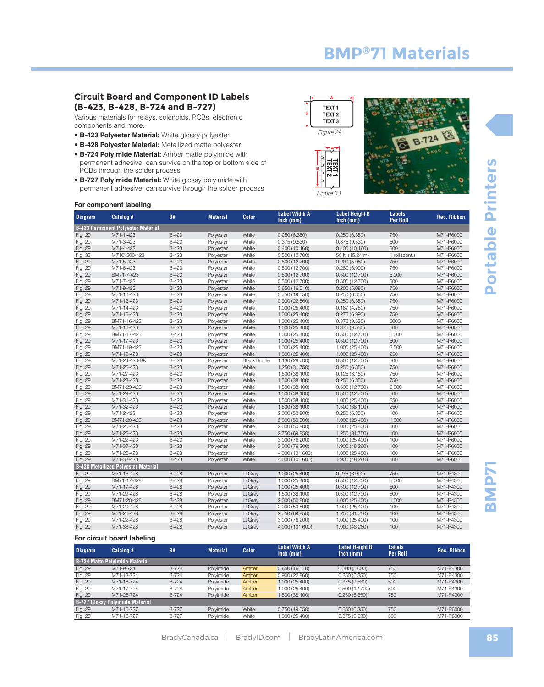#### **Circuit Board and Component ID Labels (B-423, B-428, B-724 and B-727)**

Various materials for relays, solenoids, PCBs, electronic components and more.

- **B-423 Polyester Material:** White glossy polyester
- **B-428 Polyester Material:** Metallized matte polyester
- **B-724 Polyimide Material:** Amber matte polyimide with permanent adhesive; can survive on the top or bottom side of PCBs through the solder process
- **B-727 Polyimide Material:** White glossy polyimide with permanent adhesive; can survive through the solder process





#### **For component labeling**

| <b>Diagram</b> | Catalog #                                  | <b>B#</b>    | <b>Material</b> | Color               | <b>Label Width A</b><br>$lnch$ (mm) | <b>Label Height B</b><br>$lnch$ (mm) | <b>Labels</b><br><b>Per Roll</b> | <b>Rec. Ribbon</b> |
|----------------|--------------------------------------------|--------------|-----------------|---------------------|-------------------------------------|--------------------------------------|----------------------------------|--------------------|
|                | <b>B-423 Permanent Polyester Material</b>  |              |                 |                     |                                     |                                      |                                  |                    |
| Fig. 29        | M71-1-423                                  | B-423        | Polyester       | White               | 0.250(6.350)                        | 0.250(6.350)                         | 750                              | M71-R6000          |
| Fig. 29        | M71-3-423                                  | B-423        | Polyester       | White               | 0.375(9.530)                        | 0.375(9.530)                         | 500                              | M71-R6000          |
| Fig. 29        | M71-4-423                                  | <b>B-423</b> | Polyester       | White               | 0.400(10.160)                       | 0.400(10.160)                        | 500                              | M71-R6000          |
| Fig. 33        | M71C-500-423                               | <b>B-423</b> | Polyester       | White               | 0.500(12.700)                       | 50 ft. (15.24 m)                     | 1 roll (cont.)                   | M71-R6000          |
| Fig. 29        | M71-5-423                                  | <b>B-423</b> | Polyester       | White               | 0.500(12.700)                       | 0.200(5.080)                         | 750                              | M71-R6000          |
| Fig. 29        | M71-6-423                                  | <b>B-423</b> | Polyester       | White               | 0.500(12.700)                       | 0.280(6.990)                         | 750                              | M71-R6000          |
| Fig. 29        | BM71-7-423                                 | B-423        | Polyester       | White               | 0.500(12.700)                       | 0.500(12.700)                        | 5,000                            | M71-R6000          |
| Fig. 29        | M71-7-423                                  | B-423        | Polyester       | White               | 0.500(12.700)                       | 0.500(12.700)                        | 500                              | M71-R6000          |
| Fig. 29        | M71-9-423                                  | B-423        | Polyester       | White               | 0.650(16.510)                       | 0.200(5.080)                         | 750                              | M71-R6000          |
| Fig. 29        | M71-10-423                                 | <b>B-423</b> | Polyester       | White               | 0.750(19.050)                       | 0.250(6.350)                         | 750                              | M71-R6000          |
| Fig. 29        | M71-13-423                                 | $B-423$      | Polyester       | White               | 0.900(22.860)                       | 0.250(6.350)                         | 750                              | M71-R6000          |
| Fig. 29        | M71-14-423                                 | $B-423$      | Polyester       | White               | 1.000 (25.400)                      | 0.187(4.750)                         | 750                              | M71-R6000          |
| Fig. 29        | M71-15-423                                 | $B-423$      | Polyester       | White               | 1.000 (25.400)                      | 0.275(6.990)                         | 750                              | M71-R6000          |
| Fig. 29        | BM71-16-423                                | B-423        | Polyester       | White               | 1.000 (25.400)                      | 0.375(9.530)                         | 5000                             | M71-R6000          |
| Fig. 29        | M71-16-423                                 | <b>B-423</b> | Polyester       | White               | 1.000 (25.400)                      | 0.375(9.530)                         | 500                              | M71-R6000          |
| Fig. 29        | BM71-17-423                                | $B-423$      | Polyester       | White               | 1.000 (25.400)                      | 0.500(12.700)                        | 5,000                            | M71-R6000          |
| Fig. 29        | M71-17-423                                 | $B-423$      | Polyester       | White               | 1.000 (25.400)                      | 0.500(12.700)                        | 500                              | M71-R6000          |
| Fig. 29        | BM71-19-423                                | $B-423$      | Polyester       | White               | 1.000 (25.400)                      | 1.000 (25.400)                       | 2,500                            | M71-R6000          |
| Fig. 29        | M71-19-423                                 | <b>B-423</b> | Polyester       | White               | 1.000 (25.400)                      | 1.000 (25.400)                       | 250                              | M71-R6000          |
| Fig. 29        | M71-24-423-BK                              | B-423        | Polyester       | <b>Black Border</b> | 1.130 (28.700)                      | 0.500(12.700)                        | 500                              | M71-R6000          |
| Fig. 29        | M71-25-423                                 | <b>B-423</b> | Polyester       | White               | 1.250 (31.750)                      | 0.250(6.350)                         | 750                              | M71-R6000          |
| Fig. 29        | M71-27-423                                 | $B-423$      | Polyester       | White               | 1.500 (38.100)                      | 0.125(3.180)                         | 750                              | M71-R6000          |
| Fig. 29        | M71-28-423                                 | B-423        | Polyester       | White               | 1.500 (38.100)                      | 0.250(6.350)                         | 750                              | M71-R6000          |
| Fig. 29        | BM71-29-423                                | <b>B-423</b> | Polyester       | White               | 1.500 (38.100)                      | 0.500(12.700)                        | 5,000                            | M71-R6000          |
| Fig. 29        | M71-29-423                                 | <b>B-423</b> | Polyester       | White               | 1.500 (38.100)                      | 0.500(12.700)                        | 500                              | M71-R6000          |
| Fig. 29        | M71-31-423                                 | <b>B-423</b> | Polyester       | White               | 1.500 (38.100)                      | 1.000 (25.400)                       | 250                              | M71-R6000          |
| Fig. 29        | M71-32-423                                 | <b>B-423</b> | Polyester       | White               | 1.500 (38.100)                      | 1.500 (38.100)                       | 250                              | M71-R6000          |
| Fig. 29        | M71-2-423                                  | <b>B-423</b> | Polyester       | White               | 2.000 (50.800)                      | 0.250(6.350)                         | 100                              | M71-R6000          |
| Fig. 29        | BM71-20-423                                | B-423        | Polyester       | White               | 2.000 (50.800)                      | 1.000 (25.400)                       | 1,000                            | M71-R6000          |
| Fig. 29        | M71-20-423                                 | <b>B-423</b> | Polyester       | White               | 2.000 (50.800)                      | 1.000 (25.400)                       | 100                              | M71-R6000          |
| Fig. 29        | M71-26-423                                 | <b>B-423</b> | Polyester       | White               | 2.750 (69.850)                      | 1.250 (31.750)                       | 100                              | M71-R6000          |
| Fig. 29        | M71-22-423                                 | <b>B-423</b> | Polyester       | White               | 3.000 (76.200)                      | 1.000 (25.400)                       | 100                              | M71-R6000          |
| Fig. 29        | M71-37-423                                 | $B-423$      | Polyester       | White               | 3.000 (76.200)                      | 1.900(48.260)                        | 100                              | M71-R6000          |
| Fig. 29        | M71-23-423                                 | $B-423$      | Polyester       | White               | 4.000 (101.600)                     | 1.000 (25.400)                       | 100                              | M71-R6000          |
| Fig. 29        | M71-38-423                                 | $B-423$      | Polyester       | White               | 4.000 (101.600)                     | 1.900 (48.260)                       | 100                              | M71-R6000          |
|                | <b>B-428 Metallized Polyester Material</b> |              |                 |                     |                                     |                                      |                                  |                    |
| Fig. 29        | M71-15-428                                 | <b>B-428</b> | Polyester       | Lt Gray             | 1.000 (25.400)                      | 0.275(6.990)                         | 750                              | M71-R4300          |
| Fig. 29        | BM71-17-428                                | B-428        | Polyester       | Lt Gray             | 1.000 (25.400)                      | 0.500(12.700)                        | 5,000                            | M71-R4300          |
| Fig. 29        | M71-17-428                                 | B-428        | Polyester       | Lt Gray             | 1.000 (25.400)                      | 0.500(12.700)                        | 500                              | M71-R4300          |
| Fig. 29        | M71-29-428                                 | $B-428$      | Polyester       | Lt Gray             | 1.500 (38.100)                      | 0.500(12.700)                        | 500                              | M71-R4300          |
| Fig. 29        | BM71-20-428                                | $B-428$      | Polyester       | Lt Gray             | 2.000 (50.800)                      | 1.000 (25.400)                       | 1,000                            | M71-R4300          |
| Fig. 29        | M71-20-428                                 | $B-428$      | Polyester       | Lt Gray             | 2.000 (50.800)                      | 1.000 (25.400)                       | 100                              | M71-R4300          |
| Fig. 29        | M71-26-428                                 | $B-428$      | Polyester       | Lt Gray             | 2.750 (69.850)                      | 1.250 (31.750)                       | 100                              | M71-R4300          |
| Fig. 29        | M71-22-428                                 | $B-428$      | Polyester       | Lt Gray             | 3.000 (76.200)                      | 1.000 (25.400)                       | 100                              | M71-R4300          |
| Fig. 29        | M71-38-428                                 | <b>B-428</b> | Polyester       | Lt Gray             | 4.000 (101.600)                     | 1.900 (48.260)                       | 100                              | M71-R4300          |

#### **For circuit board labeling**

| <b>Diagram</b> | Catalog #                              | B#           | <b>Material</b> | <b>Color</b> | <b>Label Width A</b><br>$lnch$ (mm) | <b>Label Height B</b><br>$lnch$ (mm) | <b>Labels</b><br><b>Per Roll</b> | <b>Rec. Ribbon</b> |
|----------------|----------------------------------------|--------------|-----------------|--------------|-------------------------------------|--------------------------------------|----------------------------------|--------------------|
|                | <b>B-724 Matte Polyimide Material</b>  |              |                 |              |                                     |                                      |                                  |                    |
| Fig. 29        | M71-9-724                              | B-724        | Polyimide       | Amber        | 0.650(16.510)                       | 0.200(5.080)                         | 750                              | M71-R4300          |
| Fig. 29        | M71-13-724                             | <b>B-724</b> | Polyimide       | Amber        | 0.900(22.860)                       | 0.250(6.350)                         | 750                              | M71-R4300          |
| Fig. 29        | M71-16-724                             | <b>B-724</b> | Polyimide       | Amber        | 1.000(25.400)                       | 0.375(9.530)                         | 500                              | M71-R4300          |
| Fig. 29        | M71-17-724                             | <b>B-724</b> | Polyimide       | Amber        | 1.000(25.400)                       | 0.500(12.700)                        | 500                              | M71-R4300          |
| Fig. 29        | M71-28-724                             | B-724        | Polyimide       | Amber        | 1.500 (38.100)                      | 0.250(6.350)                         | 750                              | M71-R4300          |
|                | <b>B-727 Glossy Polyimide Material</b> |              |                 |              |                                     |                                      |                                  |                    |
| Fig. 29        | M71-10-727                             | B-727        | Polyimide       | White        | 0.750(19.050)                       | 0.250(6.350)                         | 750                              | M71-R6000          |
| Fig. 29        | M71-16-727                             | <b>B-727</b> | Polvimide       | White        | 1.000 (25.400)                      | 0.375(9.530)                         | 500                              | M71-R6000          |

**SMP7**